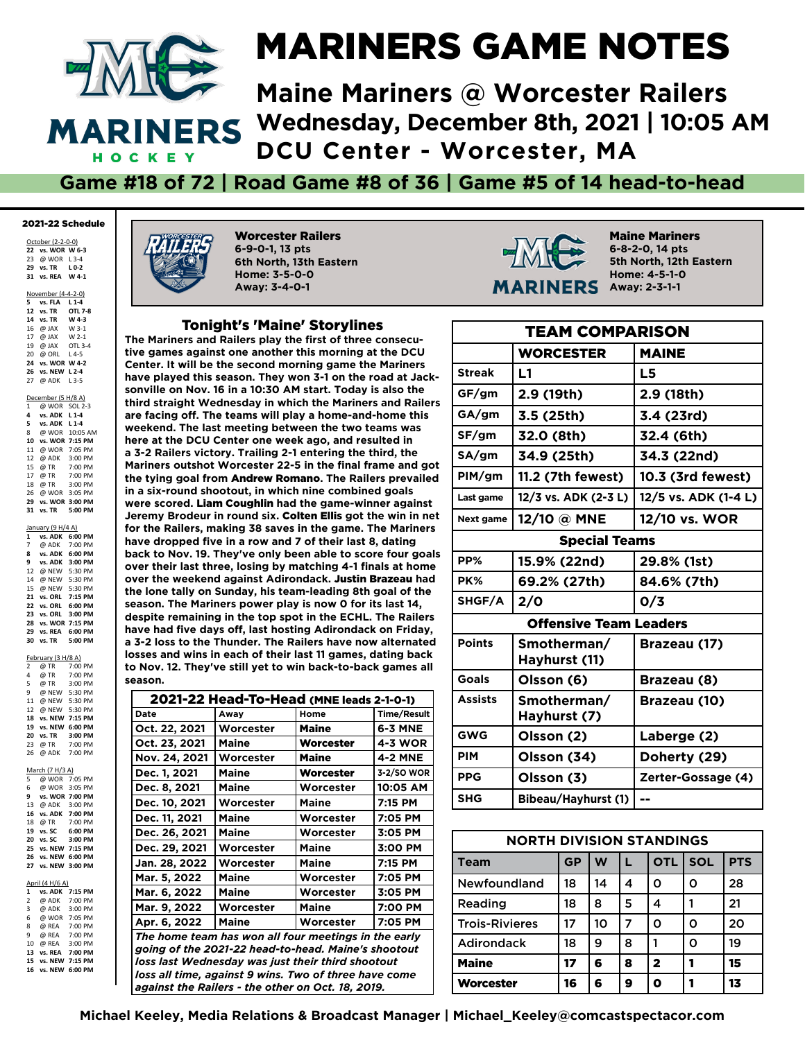

#### MARINERS GAME NOTES

**Maine Mariners @ Worcester Railers Wednesday, December 8th, 2021 | 10:05 AM DCU Center - Worcester, MA**

**Game #18 of 72 | Road Game #8 of 36 | Game #5 of 14 head-to-head**

#### 2021-22 Schedule

October (2-2-0-0) **vs. WOR W 6-3** @ WOR L 3-4 **vs. TR L 0-2 vs. REA W 4-1**

November (4-4-2-0)

**5 vs. FLA L1-4**<br>**12 vs. TR OTL 7-8**<br>**14 vs. TR W** 4-3 **12** *vs.* **TR 14 vs. TR W 4-3** 16  $@$  JAX 17 @ JAX W 2-1<br>19 @ JAX OTL 3-4 19 @ JAX 20 @ ORL L 4-5 **24 vs. WOR W 4-2 26 vs. NEW L 2-4** 27 @ ADK L 3-5 December (5 H/8 A) 1 @ WOR SOL 2-3<br>4 vs. ADK 11-4 **4 vs. ADK L 1-4 5 vs. ADK L 1-4** 8 @ WOR 10:05 AM **10 vs. WOR 7:15 PM** 11 @ WOR 7:05 PM 12 @ ADK 3:00 PM<br>15 @ TR 7:00 PM 15  $\overline{\omega}$  TR 17 @ TR 7:00 PM<br>18 @ TR 3:00 PM 3:00 PM 26 @ WOR 3:05 PM **29 vs. WOR 3:00 PM**

January (9 H/4 A)<br>1 vs. ADK 6:0<br>7 @ ADK 7:0 **1 vs. ADK 6:00 PM** 7 @ ADK 7:00 PM **vs. ADK 6:00 PM vs. ADK 3:00 PM** @ NEW 5:30 PM 14 @ NEW 5:30 PM @ NEW 5:30 PM **vs. ORL 7:15 PM vs. ORL 6:00 PM vs. ORL 3:00 PM vs. WOR 7:15 PM vs. REA 6:00 PM vs. TR 5:00 PM**

**31 vs. TR 5:00 PM**

February (3 H/8 A) 2 @ TR 7:00 PM 4 @ TR 7:00 PM 5 @ TR 3:00 PM  $\overset{=}{\varpi}$  NEW 11 @ NEW 5:30 PM 12 @ NEW 5:30 PM **18 vs. NEW 7:15 PM 19 vs. NEW 6:00 PM 20 vs. TR 3:00 PM**<br> **23** @ TR 7:00 PM<br> **26** @ ADK 7:00 PM 23 @ TR 7:00 PM 26 @ ADK 7:00 PM March (7 H/3 A)<br>5 @ WOR 7:  $\overrightarrow{7}$ :05 PM 6 @ WOR 3:05 PM **9 9 ws. WOR 7:00 PM**<br>
@ ADK 3:00 PM 13 @ ADK **16 vs. ADK 7:00 PM** 18 @ TR 7:00 PM<br>19 vs. SC 6:00 PM **19 vs. SC 6:00 PM 20 vs. SC 3:00 PM 25 vs. NEW 7:15 PM 26 vs. NEW 6:00 PM 27 vs. NEW 3:00 PM** April (4 H/6 A) **1 vs. ADK 7:15 PM**<br> **2 @ ADK 7:00 PM**  $@$  ADK 3 @ ADK 3:00 PM 6 @ WOR 7:05 PM 8 @ REA 7:00 PM<br>9 @ REA 7:00 PM  $@$  REA 10 @ REA 3:00 PM<br>13 vs. REA 7:00 PM **13 vs. REA 7:00 PM 15 vs. NEW 7:15 PM**

**16 vs. NEW 6:00 PM**



Worcester Railers **6-9-0-1, 13 pts 6th North, 13th Eastern Home: 3-5-0-0 Away: 3-4-0-1**

#### Tonight's 'Maine' Storylines

**The Mariners and Railers play the frst of three consecutive games against one another this morning at the DCU Center. It will be the second morning game the Mariners have played this season. They won 3-1 on the road at Jacksonville on Nov. 16 in a 10:30 AM start. Today is also the third straight Wednesday in which the Mariners and Railers are facing off. The teams will play a home-and-home this weekend. The last meeting between the two teams was here at the DCU Center one week ago, and resulted in a 3-2 Railers victory. Trailing 2-1 entering the third, the Mariners outshot Worcester 22-5 in the fnal frame and got the tying goal from** Andrew Romano**. The Railers prevailed in a six-round shootout, in which nine combined goals were scored.** Liam Coughlin **had the game-winner against Jeremy Brodeur in round six.** Colten Ellis **got the win in net for the Railers, making 38 saves in the game. The Mariners**  have dropped five in a row and 7 of their last 8, dating **back to Nov. 19. They've only been able to score four goals over their last three, losing by matching 4-1 fnals at home over the weekend against Adirondack.** Justin Brazeau **had the lone tally on Sunday, his team-leading 8th goal of the season. The Mariners power play is now 0 for its last 14, despite remaining in the top spot in the ECHL. The Railers have had fve days off, last hosting Adirondack on Friday, a 3-2 loss to the Thunder. The Railers have now alternated losses and wins in each of their last 11 games, dating back to Nov. 12. They've still yet to win back-to-back games all season.**

|                                                       | 2021-22 Head-To-Head (MNE leads 2-1-0-1)             |              |                    |  |  |  |  |
|-------------------------------------------------------|------------------------------------------------------|--------------|--------------------|--|--|--|--|
| Date                                                  | Away                                                 | Home         | <b>Time/Result</b> |  |  |  |  |
| Oct. 22, 2021                                         | Worcester                                            | <b>Maine</b> | <b>6-3 MNE</b>     |  |  |  |  |
| Oct. 23, 2021                                         | Maine                                                | Worcester    | <b>4-3 WOR</b>     |  |  |  |  |
| Nov. 24, 2021                                         | Worcester                                            | <b>Maine</b> | <b>4-2 MNE</b>     |  |  |  |  |
| Dec. 1, 2021                                          | Maine                                                | Worcester    | 3-2/SO WOR         |  |  |  |  |
| Dec. 8, 2021                                          | <b>Maine</b>                                         | Worcester    | 10:05 AM           |  |  |  |  |
| Dec. 10, 2021                                         | Worcester                                            | <b>Maine</b> | 7:15 PM            |  |  |  |  |
| Dec. 11, 2021                                         | <b>Maine</b>                                         | Worcester    | 7:05 PM            |  |  |  |  |
| Dec. 26, 2021                                         | Maine                                                | Worcester    | 3:05 PM            |  |  |  |  |
| Dec. 29, 2021                                         | Worcester                                            | Maine        | 3:00 PM            |  |  |  |  |
| Jan. 28, 2022                                         | Worcester                                            | <b>Maine</b> | 7:15 PM            |  |  |  |  |
| Mar. 5, 2022                                          | Maine                                                | Worcester    | 7:05 PM            |  |  |  |  |
| Mar. 6, 2022                                          | <b>Maine</b>                                         | Worcester    | 3:05 PM            |  |  |  |  |
| Mar. 9, 2022                                          | Worcester                                            | Maine        | 7:00 PM            |  |  |  |  |
| Apr. 6, 2022                                          | Maine                                                | Worcester    | 7:05 PM            |  |  |  |  |
|                                                       | The home team has won all four meetings in the early |              |                    |  |  |  |  |
|                                                       | going of the 2021-22 head-to-head. Maine's shootout  |              |                    |  |  |  |  |
| loss last Wednesday was just their third shootout     |                                                      |              |                    |  |  |  |  |
| loss all time, against 9 wins. Two of three have come |                                                      |              |                    |  |  |  |  |
|                                                       | against the Railers - the other on Oct. 18, 2019.    |              |                    |  |  |  |  |



Maine Mariners **6-8-2-0, 14 pts 5th North, 12th Eastern Home: 4-5-1-0 Away: 2-3-1-1**

|                                  | <b>TEAM COMPARISON</b>        |                      |  |  |  |  |  |  |
|----------------------------------|-------------------------------|----------------------|--|--|--|--|--|--|
| <b>MAINE</b><br><b>WORCESTER</b> |                               |                      |  |  |  |  |  |  |
| <b>Streak</b>                    | L1                            | L5                   |  |  |  |  |  |  |
| GF/gm                            | 2.9 (19th)                    | 2.9 (18th)           |  |  |  |  |  |  |
| GA/gm                            | 3.5 (25th)                    | 3.4 (23rd)           |  |  |  |  |  |  |
| SF/gm                            | 32.0 (8th)                    | 32.4 (6th)           |  |  |  |  |  |  |
| SA/gm                            | 34.9 (25th)                   | 34.3 (22nd)          |  |  |  |  |  |  |
| PIM/gm                           | 11.2 (7th fewest)             | 10.3 (3rd fewest)    |  |  |  |  |  |  |
| Last game                        | 12/3 vs. ADK (2-3 L)          | 12/5 vs. ADK (1-4 L) |  |  |  |  |  |  |
| Next game                        | 12/10 @ MNE                   | 12/10 vs. WOR        |  |  |  |  |  |  |
|                                  | <b>Special Teams</b>          |                      |  |  |  |  |  |  |
| PP%                              | 15.9% (22nd)                  | 29.8% (1st)          |  |  |  |  |  |  |
| PK%                              | 69.2% (27th)                  | 84.6% (7th)          |  |  |  |  |  |  |
| SHGF/A                           | 2/0                           | O/3                  |  |  |  |  |  |  |
|                                  | <b>Offensive Team Leaders</b> |                      |  |  |  |  |  |  |
| <b>Points</b>                    | Smotherman/<br>Hayhurst (11)  | Brazeau (17)         |  |  |  |  |  |  |
| Goals                            | Olsson (6)                    | Brazeau (8)          |  |  |  |  |  |  |
| <b>Assists</b>                   | Smotherman/<br>Hayhurst (7)   | Brazeau (10)         |  |  |  |  |  |  |
| <b>GWG</b>                       | Olsson (2)                    | Laberge (2)          |  |  |  |  |  |  |
| <b>PIM</b>                       | Olsson (34)                   | Doherty (29)         |  |  |  |  |  |  |
| <b>PPG</b>                       | Olsson (3)                    | Zerter-Gossage (4)   |  |  |  |  |  |  |
| <b>SHG</b>                       | Bibeau/Hayhurst (1)           | --                   |  |  |  |  |  |  |

| <b>NORTH DIVISION STANDINGS</b>                                         |    |    |   |              |   |    |  |  |  |  |  |
|-------------------------------------------------------------------------|----|----|---|--------------|---|----|--|--|--|--|--|
| <b>SOL</b><br><b>PTS</b><br><b>GP</b><br><b>OTL</b><br>W<br><b>Team</b> |    |    |   |              |   |    |  |  |  |  |  |
| <b>Newfoundland</b>                                                     | 18 | 14 | 4 | Ο            | Ο | 28 |  |  |  |  |  |
| Reading                                                                 | 18 | 8  | 5 | 4            |   | 21 |  |  |  |  |  |
| <b>Trois-Rivieres</b>                                                   | 17 | 10 | 7 | ი            | ი | 20 |  |  |  |  |  |
| <b>Adirondack</b>                                                       | 18 | 9  | 8 |              | ი | 19 |  |  |  |  |  |
| <b>Maine</b>                                                            | 17 | 6  | 8 | $\mathbf{2}$ |   | 15 |  |  |  |  |  |
| Worcester                                                               | 16 | 6  | 9 | п            |   | 13 |  |  |  |  |  |

**Michael Keeley, Media Relations & Broadcast Manager | Michael\_Keeley@comcastspectacor.com**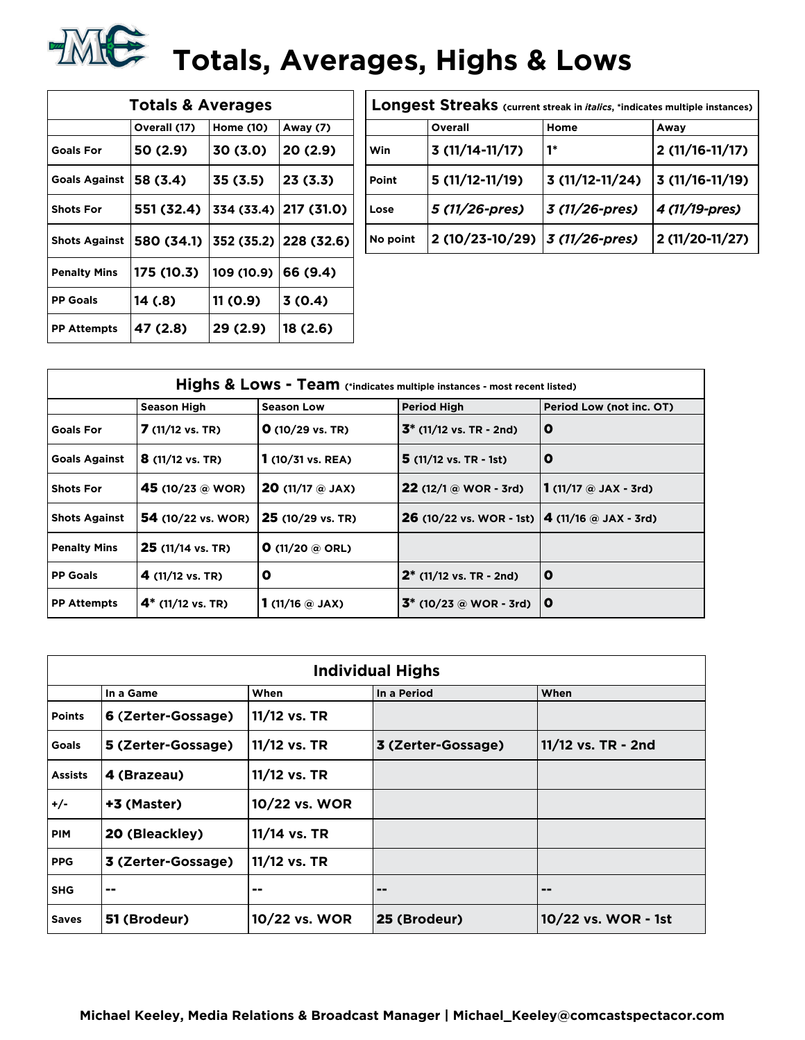## **TALE:** Totals, Averages, Highs & Lows

| <b>Totals &amp; Averages</b> |              |            |                       |  |  |  |  |  |  |
|------------------------------|--------------|------------|-----------------------|--|--|--|--|--|--|
|                              | Overall (17) | Home (10)  | Away (7)              |  |  |  |  |  |  |
| <b>Goals For</b>             | 50 (2.9)     | 30 (3.0)   | 20 (2.9)              |  |  |  |  |  |  |
| <b>Goals Against</b>         | 58 (3.4)     | 35 (3.5)   | 23 (3.3)              |  |  |  |  |  |  |
| <b>Shots For</b>             | 551 (32.4)   | 334 (33.4) | 217 (31.0)            |  |  |  |  |  |  |
| <b>Shots Against</b>         | 580 (34.1)   |            | 352 (35.2) 228 (32.6) |  |  |  |  |  |  |
| <b>Penalty Mins</b>          | 175 (10.3)   | 109 (10.9) | 66 (9.4)              |  |  |  |  |  |  |
| <b>PP Goals</b>              | 14 (.8)      | 11 (0.9)   | 3(0.4)                |  |  |  |  |  |  |
| <b>PP Attempts</b>           | 47 (2.8)     | 29 (2.9)   | 18 (2.6)              |  |  |  |  |  |  |

| Longest Streaks (current streak in <i>italics</i> , *indicates multiple instances) |                                          |                  |                  |  |  |  |  |  |
|------------------------------------------------------------------------------------|------------------------------------------|------------------|------------------|--|--|--|--|--|
|                                                                                    | Overall                                  | Home             | Away             |  |  |  |  |  |
| Win                                                                                | $3(11/14-11/17)$                         | 1*               | $2(11/16-11/17)$ |  |  |  |  |  |
| Point                                                                              | $5(11/12-11/19)$                         | $3(11/12-11/24)$ | $3(11/16-11/19)$ |  |  |  |  |  |
| Lose                                                                               | 5 (11/26-pres)                           | 3 (11/26-pres)   | 4 (11/19-pres)   |  |  |  |  |  |
| No point                                                                           | 2 (10/23-10/29) $ 3 (11/26\text{-}pres)$ |                  | 2 (11/20-11/27)  |  |  |  |  |  |

| Highs & Lows - Team (*indicates multiple instances - most recent listed) |                           |                                      |                                                           |                                                 |  |  |  |  |  |
|--------------------------------------------------------------------------|---------------------------|--------------------------------------|-----------------------------------------------------------|-------------------------------------------------|--|--|--|--|--|
|                                                                          | <b>Season High</b>        | <b>Season Low</b>                    | <b>Period High</b>                                        | Period Low (not inc. OT)                        |  |  |  |  |  |
| <b>Goals For</b>                                                         | $7(11/12 \text{ vs. TR})$ | $O(10/29 \text{ vs. TR})$            | $3^*$ (11/12 vs. TR - 2nd)                                | O                                               |  |  |  |  |  |
| <b>Goals Against</b>                                                     | $8(11/12 \text{ vs. TR})$ | $1(10/31 \text{ vs. } REA)$          | $5(11/12 \text{ vs. TR } -1st)$                           | O                                               |  |  |  |  |  |
| <b>Shots For</b>                                                         | 45 (10/23 @ WOR)          | <b>20</b> (11/17 $\circledcirc$ JAX) | <b>22</b> (12/1 $\omega$ WOR - 3rd)                       | 1 $(11/17 \; \text{\textcircled{a}}$ JAX - 3rd) |  |  |  |  |  |
| <b>Shots Against</b>                                                     | <b>54</b> (10/22 vs. WOR) | 25 (10/29 vs. TR)                    | <b>26</b> (10/22 vs. WOR - 1st) $ 4 (11/16)$ a JAX - 3rd) |                                                 |  |  |  |  |  |
| <b>Penalty Mins</b>                                                      | <b>25</b> (11/14 vs. TR)  | <b>O</b> (11/20 @ ORL)               |                                                           |                                                 |  |  |  |  |  |
| <b>PP Goals</b>                                                          | 4 (11/12 vs. TR)          | O                                    | $2^*$ (11/12 vs. TR - 2nd)                                | O                                               |  |  |  |  |  |
| <b>PP Attempts</b>                                                       | $4^*$ (11/12 vs. TR)      | 1 (11/16 $\circ$ JAX)                | $3^*$ (10/23 @ WOR - 3rd)                                 | O                                               |  |  |  |  |  |

|                | <b>Individual Highs</b>                  |               |                    |                     |  |  |  |  |  |  |  |
|----------------|------------------------------------------|---------------|--------------------|---------------------|--|--|--|--|--|--|--|
|                | When<br>In a Period<br>When<br>In a Game |               |                    |                     |  |  |  |  |  |  |  |
| <b>Points</b>  | 6 (Zerter-Gossage)                       | 11/12 vs. TR  |                    |                     |  |  |  |  |  |  |  |
| Goals          | 5 (Zerter-Gossage)                       | 11/12 vs. TR  | 3 (Zerter-Gossage) | 11/12 vs. TR - 2nd  |  |  |  |  |  |  |  |
| <b>Assists</b> | 4 (Brazeau)                              | 11/12 vs. TR  |                    |                     |  |  |  |  |  |  |  |
| $+/-$          | +3 (Master)                              | 10/22 vs. WOR |                    |                     |  |  |  |  |  |  |  |
| <b>PIM</b>     | 20 (Bleackley)                           | 11/14 vs. TR  |                    |                     |  |  |  |  |  |  |  |
| <b>PPG</b>     | 3 (Zerter-Gossage)                       | 11/12 vs. TR  |                    |                     |  |  |  |  |  |  |  |
| <b>SHG</b>     | --                                       | --            | --                 | $=$ $-$             |  |  |  |  |  |  |  |
| <b>Saves</b>   | 51 (Brodeur)                             | 10/22 vs. WOR | 25 (Brodeur)       | 10/22 vs. WOR - 1st |  |  |  |  |  |  |  |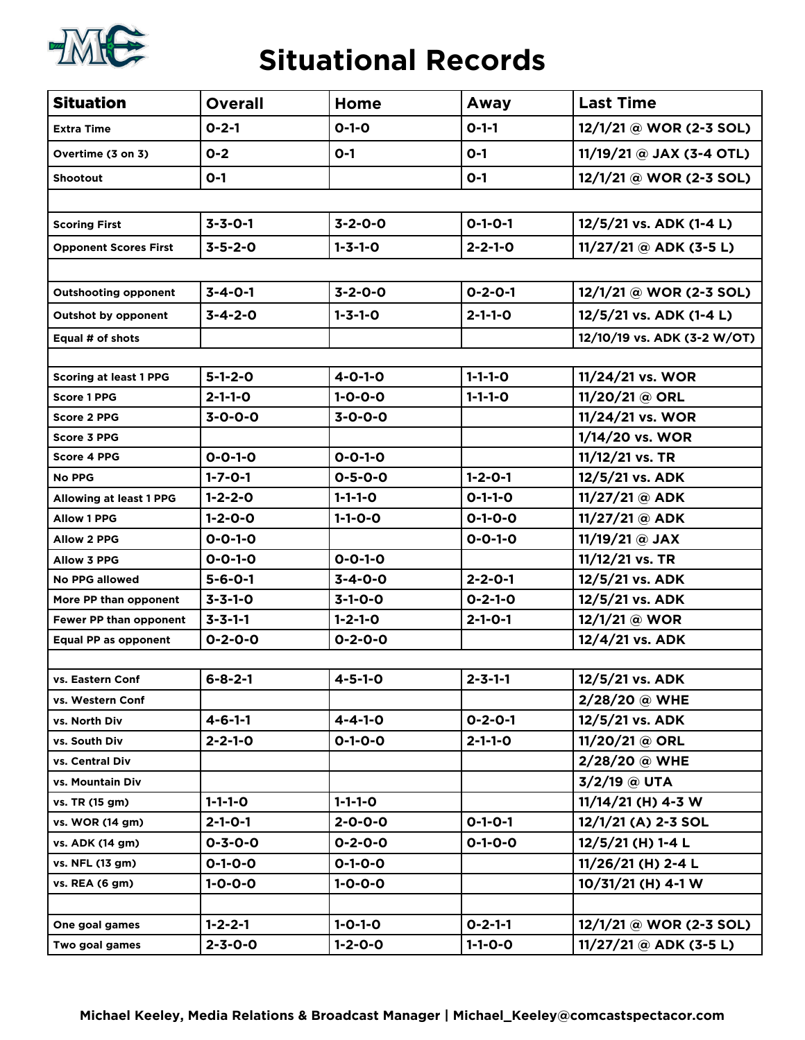

#### **Situational Records**

| <b>Situation</b>              | <b>Overall</b>  | Home            | Away            | <b>Last Time</b>            |
|-------------------------------|-----------------|-----------------|-----------------|-----------------------------|
| <b>Extra Time</b>             | $0 - 2 - 1$     | $0 - 1 - 0$     | $O-1-1$         | 12/1/21 @ WOR (2-3 SOL)     |
| Overtime (3 on 3)             | $0 - 2$         | $O-1$           | $O-1$           | $11/19/21$ @ JAX (3-4 OTL)  |
| <b>Shootout</b>               | $0 - 1$         |                 | $O-1$           | 12/1/21 @ WOR (2-3 SOL)     |
|                               |                 |                 |                 |                             |
| <b>Scoring First</b>          | $3 - 3 - 0 - 1$ | $3 - 2 - 0 - 0$ | $O-1-O-1$       | 12/5/21 vs. ADK (1-4 L)     |
| <b>Opponent Scores First</b>  | $3 - 5 - 2 - 0$ | $1 - 3 - 1 - 0$ | $2 - 2 - 1 - 0$ | $11/27/21$ @ ADK (3-5 L)    |
|                               |                 |                 |                 |                             |
| <b>Outshooting opponent</b>   | $3 - 4 - 0 - 1$ | $3 - 2 - 0 - 0$ | $0 - 2 - 0 - 1$ | 12/1/21 @ WOR (2-3 SOL)     |
| <b>Outshot by opponent</b>    | $3 - 4 - 2 - 0$ | $1 - 3 - 1 - 0$ | $2 - 1 - 1 - 0$ | 12/5/21 vs. ADK (1-4 L)     |
| Equal # of shots              |                 |                 |                 | 12/10/19 vs. ADK (3-2 W/OT) |
|                               |                 |                 |                 |                             |
| <b>Scoring at least 1 PPG</b> | $5 - 1 - 2 - 0$ | $4 - 0 - 1 - 0$ | $1 - 1 - 1 - 0$ | 11/24/21 vs. WOR            |
| <b>Score 1 PPG</b>            | $2 - 1 - 1 - 0$ | $1 - 0 - 0 - 0$ | $1 - 1 - 1 - 0$ | 11/20/21 @ ORL              |
| <b>Score 2 PPG</b>            | $3 - 0 - 0 - 0$ | $3 - 0 - 0 - 0$ |                 | 11/24/21 vs. WOR            |
| Score 3 PPG                   |                 |                 |                 | 1/14/20 vs. WOR             |
| <b>Score 4 PPG</b>            | $0 - 0 - 1 - 0$ | $0 - 0 - 1 - 0$ |                 | 11/12/21 vs. TR             |
| <b>No PPG</b>                 | $1 - 7 - 0 - 1$ | $0 - 5 - 0 - 0$ | $1 - 2 - 0 - 1$ | 12/5/21 vs. ADK             |
| Allowing at least 1 PPG       | $1 - 2 - 2 - 0$ | $1 - 1 - 1 - 0$ | $0 - 1 - 1 - 0$ | 11/27/21 @ ADK              |
| <b>Allow 1 PPG</b>            | $1 - 2 - 0 - 0$ | $1 - 1 - 0 - 0$ | $0 - 1 - 0 - 0$ | $11/27/21$ @ ADK            |
| <b>Allow 2 PPG</b>            | $0 - 0 - 1 - 0$ |                 | $0 - 0 - 1 - 0$ | 11/19/21 @ JAX              |
| <b>Allow 3 PPG</b>            | $0 - 0 - 1 - 0$ | $0 - 0 - 1 - 0$ |                 | 11/12/21 vs. TR             |
| <b>No PPG allowed</b>         | $5 - 6 - 0 - 1$ | $3 - 4 - 0 - 0$ | $2 - 2 - 0 - 1$ | 12/5/21 vs. ADK             |
| More PP than opponent         | $3 - 3 - 1 - 0$ | $3-1-0-0$       | $0 - 2 - 1 - 0$ | 12/5/21 vs. ADK             |
| Fewer PP than opponent        | $3 - 3 - 1 - 1$ | $1 - 2 - 1 - 0$ | $2 - 1 - 0 - 1$ | 12/1/21 @ WOR               |
| <b>Equal PP as opponent</b>   | $0 - 2 - 0 - 0$ | $0 - 2 - 0 - 0$ |                 | 12/4/21 vs. ADK             |
|                               |                 |                 |                 |                             |
| vs. Eastern Conf              | $6 - 8 - 2 - 1$ | $4 - 5 - 1 - 0$ | $2 - 3 - 1 - 1$ | 12/5/21 vs. ADK             |
| vs. Western Conf              |                 |                 |                 | 2/28/20 @ WHE               |
| vs. North Div                 | $4 - 6 - 1 - 1$ | $4 - 4 - 1 - 0$ | $0 - 2 - 0 - 1$ | 12/5/21 vs. ADK             |
| vs. South Div                 | $2 - 2 - 1 - 0$ | $0 - 1 - 0 - 0$ | $2 - 1 - 1 - 0$ | 11/20/21 @ ORL              |
| vs. Central Div               |                 |                 |                 | 2/28/20 @ WHE               |
| vs. Mountain Div              |                 |                 |                 | 3/2/19 @ UTA                |
| vs. TR (15 gm)                | $1 - 1 - 1 - 0$ | $1 - 1 - 1 - 0$ |                 | $11/14/21$ (H) 4-3 W        |
| vs. WOR (14 gm)               | $2 - 1 - 0 - 1$ | $2 - 0 - 0 - 0$ | $O-1-O-1$       | 12/1/21 (A) 2-3 SOL         |
| vs. ADK (14 gm)               | $0 - 3 - 0 - 0$ | $0 - 2 - 0 - 0$ | $0 - 1 - 0 - 0$ | 12/5/21 (H) 1-4 L           |
| vs. NFL (13 gm)               | $0 - 1 - 0 - 0$ | $0 - 1 - 0 - 0$ |                 | 11/26/21 (H) 2-4 L          |
| vs. REA (6 gm)                | $1 - 0 - 0 - 0$ | $1 - 0 - 0 - 0$ |                 | 10/31/21 (H) 4-1 W          |
|                               |                 |                 |                 |                             |
| One goal games                | $1 - 2 - 2 - 1$ | $1 - 0 - 1 - 0$ | $0 - 2 - 1 - 1$ | 12/1/21 @ WOR (2-3 SOL)     |
| Two goal games                | $2 - 3 - 0 - 0$ | $1 - 2 - 0 - 0$ | $1 - 1 - 0 - 0$ | $11/27/21 @$ ADK (3-5 L)    |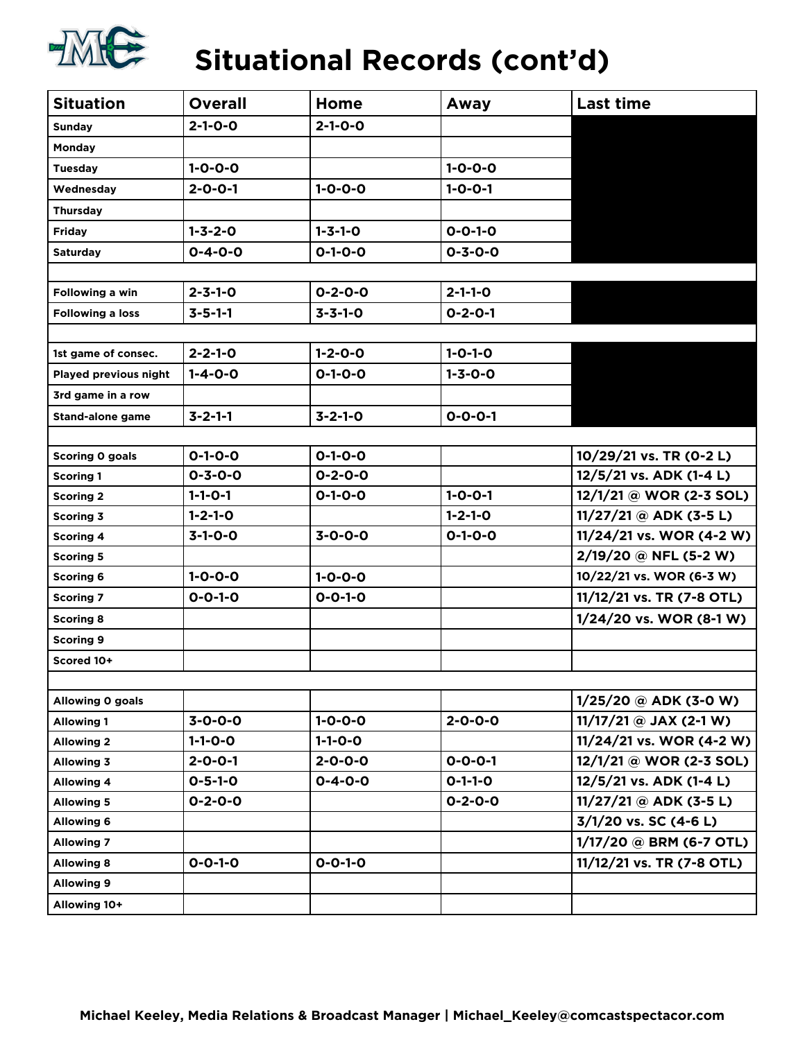

### **Situational Records (cont'd)**

| <b>Situation</b>        | <b>Overall</b>  | Home            | Away            | <b>Last time</b>          |
|-------------------------|-----------------|-----------------|-----------------|---------------------------|
| <b>Sunday</b>           | $2 - 1 - 0 - 0$ | $2 - 1 - 0 - 0$ |                 |                           |
| Monday                  |                 |                 |                 |                           |
| <b>Tuesday</b>          | $1 - 0 - 0 - 0$ |                 | $1 - 0 - 0 - 0$ |                           |
| Wednesday               | $2 - 0 - 0 - 1$ | $1 - 0 - 0 - 0$ | $1 - 0 - 0 - 1$ |                           |
| <b>Thursday</b>         |                 |                 |                 |                           |
| <b>Friday</b>           | $1 - 3 - 2 - 0$ | $1 - 3 - 1 - 0$ | $0 - 0 - 1 - 0$ |                           |
| <b>Saturday</b>         | $0 - 4 - 0 - 0$ | $0 - 1 - 0 - 0$ | $0 - 3 - 0 - 0$ |                           |
|                         |                 |                 |                 |                           |
| Following a win         | $2 - 3 - 1 - 0$ | $0 - 2 - 0 - 0$ | $2 - 1 - 1 - 0$ |                           |
| <b>Following a loss</b> | $3 - 5 - 1 - 1$ | $3 - 3 - 1 - 0$ | $0 - 2 - 0 - 1$ |                           |
|                         |                 |                 |                 |                           |
| 1st game of consec.     | $2 - 2 - 1 - 0$ | $1 - 2 - 0 - 0$ | $1 - 0 - 1 - 0$ |                           |
| Played previous night   | $1 - 4 - 0 - 0$ | $0 - 1 - 0 - 0$ | $1 - 3 - 0 - 0$ |                           |
| 3rd game in a row       |                 |                 |                 |                           |
| <b>Stand-alone game</b> | $3 - 2 - 1 - 1$ | $3 - 2 - 1 - 0$ | $0 - 0 - 0 - 1$ |                           |
|                         |                 |                 |                 |                           |
| Scoring 0 goals         | $0 - 1 - 0 - 0$ | $0 - 1 - 0 - 0$ |                 | 10/29/21 vs. TR (0-2 L)   |
| <b>Scoring 1</b>        | $0 - 3 - 0 - 0$ | $0 - 2 - 0 - 0$ |                 | 12/5/21 vs. ADK (1-4 L)   |
| <b>Scoring 2</b>        | $1 - 1 - 0 - 1$ | $0 - 1 - 0 - 0$ | $1 - 0 - 0 - 1$ | 12/1/21 @ WOR (2-3 SOL)   |
| <b>Scoring 3</b>        | $1 - 2 - 1 - 0$ |                 | $1 - 2 - 1 - 0$ | $11/27/21$ @ ADK (3-5 L)  |
| <b>Scoring 4</b>        | $3-1-0-0$       | $3 - 0 - 0 - 0$ | $0 - 1 - 0 - 0$ | 11/24/21 vs. WOR (4-2 W)  |
| <b>Scoring 5</b>        |                 |                 |                 | 2/19/20 @ NFL (5-2 W)     |
| <b>Scoring 6</b>        | $1 - 0 - 0 - 0$ | $1 - 0 - 0 - 0$ |                 | 10/22/21 vs. WOR (6-3 W)  |
| <b>Scoring 7</b>        | $0 - 0 - 1 - 0$ | $0 - 0 - 1 - 0$ |                 | 11/12/21 vs. TR (7-8 OTL) |
| <b>Scoring 8</b>        |                 |                 |                 | 1/24/20 vs. WOR (8-1 W)   |
| <b>Scoring 9</b>        |                 |                 |                 |                           |
| Scored 10+              |                 |                 |                 |                           |
|                         |                 |                 |                 |                           |
| Allowing 0 goals        |                 |                 |                 | $1/25/20$ @ ADK (3-0 W)   |
| <b>Allowing 1</b>       | $3 - 0 - 0 - 0$ | $1 - 0 - 0 - 0$ | $2 - 0 - 0 - 0$ | $11/17/21$ @ JAX (2-1 W)  |
| <b>Allowing 2</b>       | $1 - 1 - 0 - 0$ | $1 - 1 - 0 - 0$ |                 | 11/24/21 vs. WOR (4-2 W)  |
| <b>Allowing 3</b>       | $2 - 0 - 0 - 1$ | $2 - 0 - 0 - 0$ | $0 - 0 - 0 - 1$ | 12/1/21 @ WOR (2-3 SOL)   |
| <b>Allowing 4</b>       | $0 - 5 - 1 - 0$ | $0 - 4 - 0 - 0$ | $O-1-1-O$       | 12/5/21 vs. ADK (1-4 L)   |
| <b>Allowing 5</b>       | $0 - 2 - 0 - 0$ |                 | $0 - 2 - 0 - 0$ | $11/27/21$ @ ADK (3-5 L)  |
| <b>Allowing 6</b>       |                 |                 |                 | 3/1/20 vs. SC (4-6 L)     |
| <b>Allowing 7</b>       |                 |                 |                 | 1/17/20 @ BRM (6-7 OTL)   |
| <b>Allowing 8</b>       | $0 - 0 - 1 - 0$ | $0 - 0 - 1 - 0$ |                 | 11/12/21 vs. TR (7-8 OTL) |
| <b>Allowing 9</b>       |                 |                 |                 |                           |
| Allowing 10+            |                 |                 |                 |                           |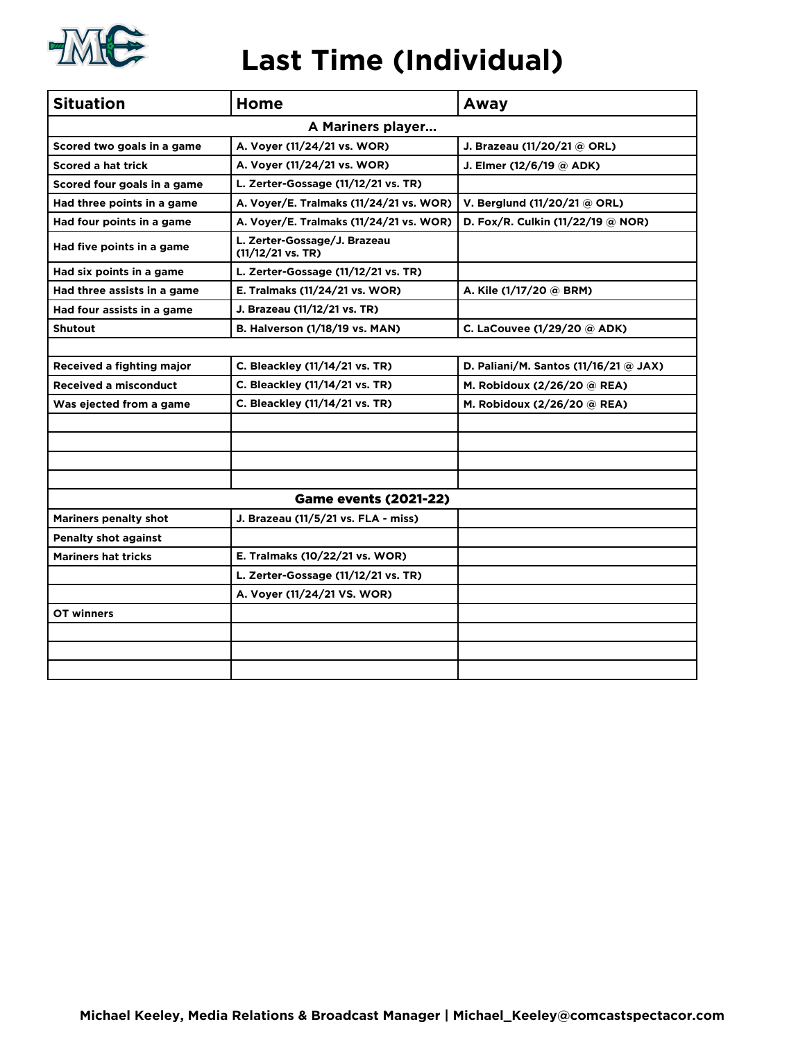

#### **Last Time (Individual)**

| <b>Situation</b>             | Home                                                | Away                                  |  |  |
|------------------------------|-----------------------------------------------------|---------------------------------------|--|--|
|                              | A Mariners player                                   |                                       |  |  |
| Scored two goals in a game   | A. Voyer (11/24/21 vs. WOR)                         | J. Brazeau (11/20/21 @ ORL)           |  |  |
| <b>Scored a hat trick</b>    | A. Voyer (11/24/21 vs. WOR)                         | J. Elmer (12/6/19 @ ADK)              |  |  |
| Scored four goals in a game  | L. Zerter-Gossage (11/12/21 vs. TR)                 |                                       |  |  |
| Had three points in a game   | A. Voyer/E. Tralmaks (11/24/21 vs. WOR)             | V. Berglund (11/20/21 @ ORL)          |  |  |
| Had four points in a game    | A. Voyer/E. Tralmaks (11/24/21 vs. WOR)             | D. Fox/R. Culkin (11/22/19 @ NOR)     |  |  |
| Had five points in a game    | L. Zerter-Gossage/J. Brazeau<br>$(11/12/21$ vs. TR) |                                       |  |  |
| Had six points in a game     | L. Zerter-Gossage (11/12/21 vs. TR)                 |                                       |  |  |
| Had three assists in a game  | E. Tralmaks (11/24/21 vs. WOR)                      | A. Kile (1/17/20 @ BRM)               |  |  |
| Had four assists in a game   | J. Brazeau (11/12/21 vs. TR)                        |                                       |  |  |
| <b>Shutout</b>               | B. Halverson (1/18/19 vs. MAN)                      | C. LaCouvee (1/29/20 @ ADK)           |  |  |
|                              |                                                     |                                       |  |  |
| Received a fighting major    | C. Bleackley (11/14/21 vs. TR)                      | D. Paliani/M. Santos (11/16/21 @ JAX) |  |  |
| <b>Received a misconduct</b> | C. Bleackley (11/14/21 vs. TR)                      | M. Robidoux (2/26/20 @ REA)           |  |  |
| Was ejected from a game      | C. Bleackley (11/14/21 vs. TR)                      | M. Robidoux (2/26/20 @ REA)           |  |  |
|                              |                                                     |                                       |  |  |
|                              |                                                     |                                       |  |  |
|                              |                                                     |                                       |  |  |
|                              |                                                     |                                       |  |  |
|                              | <b>Game events (2021-22)</b>                        |                                       |  |  |
| <b>Mariners penalty shot</b> | J. Brazeau (11/5/21 vs. FLA - miss)                 |                                       |  |  |
| <b>Penalty shot against</b>  |                                                     |                                       |  |  |
| <b>Mariners hat tricks</b>   | E. Tralmaks (10/22/21 vs. WOR)                      |                                       |  |  |
|                              | L. Zerter-Gossage (11/12/21 vs. TR)                 |                                       |  |  |
|                              | A. Voyer (11/24/21 VS. WOR)                         |                                       |  |  |
| OT winners                   |                                                     |                                       |  |  |
|                              |                                                     |                                       |  |  |
|                              |                                                     |                                       |  |  |
|                              |                                                     |                                       |  |  |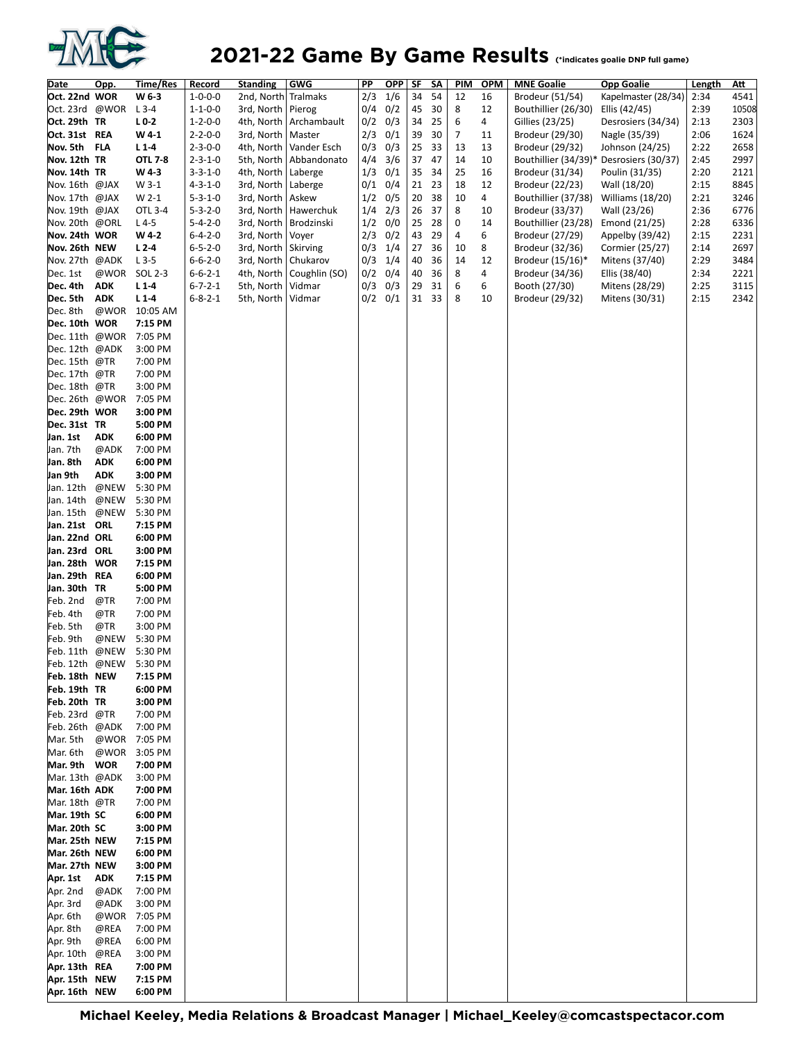

#### **2021-22 Game By Game Results** (\*indicates goalie DNP full game)

| Date           | Opp. | Time/Res       | Record          | <b>Standing</b> | <b>GWG</b>    | PP        | <b>OPP</b>  | <b>SF</b> | SΛ | PIM            | <b>OPM</b> | <b>MNE Goalie</b>                       | <b>Opp Goalie</b>   | Length | <u>Att</u> |
|----------------|------|----------------|-----------------|-----------------|---------------|-----------|-------------|-----------|----|----------------|------------|-----------------------------------------|---------------------|--------|------------|
| Oct. 22nd WOR  |      | W 6-3          | $1 - 0 - 0 - 0$ | 2nd, North      | Tralmaks      | 2/3       | 1/6         | 34        | 54 | 12             | 16         | Brodeur (51/54)                         | Kapelmaster (28/34) | 2:34   | 4541       |
| Oct. 23rd @WOR |      | $L$ 3-4        | $1 - 1 - 0 - 0$ | 3rd, North      | Pierog        |           | $0/4$ 0/2   | 45        | 30 | 8              | 12         | Bouthillier (26/30)                     | Ellis (42/45)       | 2:39   | 10508      |
| Oct. 29th TR   |      | $L0$ 2         | $1 - 2 - 0 - 0$ | 4th, North      | Archambault   | $0/2$ 0/3 |             | 34        | 25 | 6              | 4          | Gillies (23/25)                         | Desrosiers (34/34)  | 2:13   | 2303       |
| Oct. 31st REA  |      | W 4-1          | $2 - 2 - 0 - 0$ | 3rd, North      | Master        | 2/3       | 0/1         | 39        | 30 | $\overline{7}$ | 11         | Brodeur (29/30)                         | Nagle (35/39)       | 2:06   | 1624       |
| Nov. 5th FLA   |      | $L1-4$         | $2 - 3 - 0 - 0$ | 4th, North      | Vander Esch   | 0/3       | 0/3         | 25        | 33 | 13             | 13         | Brodeur (29/32)                         | Johnson (24/25)     | 2:22   | 2658       |
| Nov. 12th TR   |      | <b>OTL 7-8</b> | $2 - 3 - 1 - 0$ | 5th, North      | Abbandonato   | 4/4       | 3/6         | 37        | 47 | 14             | 10         | Bouthillier (34/39)* Desrosiers (30/37) |                     | 2:45   | 2997       |
| Nov. 14th TR   |      | W43            | $3 - 3 - 1 - 0$ | 4th, North      | Laberge       | 1/3       | 0/1         | 35        | 34 | 25             | 16         | Brodeur (31/34)                         | Poulin (31/35)      | 2:20   | 2121       |
| Nov. 16th @JAX |      | W 3-1          | $4 - 3 - 1 - 0$ | 3rd, North      | Laberge       | $0/1$ 0/4 |             | 21        | 23 | 18             | 12         | Brodeur (22/23)                         | Wall (18/20)        | 2:15   | 8845       |
| Nov. 17th @JAX |      | W 2-1          | $5 - 3 - 1 - 0$ | 3rd, North      | Askew         | $1/2$ 0/5 |             | 20        | 38 | 10             | 4          | Bouthillier (37/38)                     | Williams (18/20)    | 2:21   | 3246       |
| Nov. 19th @JAX |      | OTL 3-4        | $5 - 3 - 2 - 0$ | 3rd, North      | Hawerchuk     | 1/4       | 2/3         | 26        | 37 | 8              | 10         | Brodeur (33/37)                         | Wall (23/26)        | 2:36   | 6776       |
| Nov. 20th @ORL |      | $L4-5$         | $5 - 4 - 2 - 0$ | 3rd, North      | Brodzinski    | 1/2       | 0/0         | 25        | 28 | 0              | 14         | Bouthillier (23/28)                     | Emond (21/25)       | 2:28   | 6336       |
| Nov. 24th WOR  |      | W 4-2          | $6 - 4 - 2 - 0$ | 3rd, North      | Voyer         | 2/3       | 0/2         | 43        | 29 | 4              | 6          | Brodeur (27/29)                         | Appelby (39/42)     | 2:15   | 2231       |
| Nov. 26th NEW  |      | $L2-4$         | $6 - 5 - 2 - 0$ | 3rd, North      | Skirving      | 0/3       | 1/4         | 27        | 36 | 10             | 8          | Brodeur (32/36)                         | Cormier (25/27)     | 2:14   | 2697       |
| Nov. 27th @ADK |      | $L$ 3-5        | $6 - 6 - 2 - 0$ | 3rd, North      | Chukarov      |           | $0/3$ $1/4$ | 40        | 36 | 14             | 12         | Brodeur $(15/16)^*$                     | Mitens (37/40)      | 2:29   | 3484       |
| Dec. 1st       | @WOR | SOL 2-3        | $6 - 6 - 2 - 1$ | 4th, North      | Coughlin (SO) | $0/2$ 0/4 |             | 40        | 36 | 8              | 4          | Brodeur (34/36)                         | Ellis (38/40)       | 2:34   | 2221       |
| Dec. 4th       | ADK  | $L1-4$         | $6 - 7 - 2 - 1$ | 5th, North      | Vidmar        | 0/3       | 0/3         | 29        | 31 | 6              | 6          | Booth (27/30)                           | Mitens (28/29)      | 2:25   | 3115       |
| Dec. 5th ADK   |      | $L1-4$         | $6 - 8 - 2 - 1$ | 5th, North      | Vidmar        |           | $0/2$ $0/1$ | 31        | 33 | 8              | 10         | Brodeur (29/32)                         | Mitens (30/31)      | 2:15   | 2342       |
| Dec. 8th       | @WOR | 10:05 AM       |                 |                 |               |           |             |           |    |                |            |                                         |                     |        |            |
| Dec. 10th WOR  |      | 7:15 PM        |                 |                 |               |           |             |           |    |                |            |                                         |                     |        |            |
| Dec. 11th @WOR |      | 7:05 PM        |                 |                 |               |           |             |           |    |                |            |                                         |                     |        |            |
| Dec. 12th @ADK |      | 3:00 PM        |                 |                 |               |           |             |           |    |                |            |                                         |                     |        |            |
| Dec. 15th @TR  |      | 7:00 PM        |                 |                 |               |           |             |           |    |                |            |                                         |                     |        |            |
| Dec. 17th @TR  |      | 7:00 PM        |                 |                 |               |           |             |           |    |                |            |                                         |                     |        |            |
| Dec. 18th @TR  |      | 3:00 PM        |                 |                 |               |           |             |           |    |                |            |                                         |                     |        |            |
| Dec. 26th @WOR |      | 7:05 PM        |                 |                 |               |           |             |           |    |                |            |                                         |                     |        |            |
| Dec. 29th WOR  |      | 3:00 PM        |                 |                 |               |           |             |           |    |                |            |                                         |                     |        |            |
| Dec. 31st TR   |      | 5:00 PM        |                 |                 |               |           |             |           |    |                |            |                                         |                     |        |            |
| Jan. 1st       | ADK  | 6:00 PM        |                 |                 |               |           |             |           |    |                |            |                                         |                     |        |            |
| Jan. 7th       | @ADK | 7:00 PM        |                 |                 |               |           |             |           |    |                |            |                                         |                     |        |            |
| Jan. 8th       | ADK  | 6:00 PM        |                 |                 |               |           |             |           |    |                |            |                                         |                     |        |            |
| Jan 9th        | ADK  | 3:00 PM        |                 |                 |               |           |             |           |    |                |            |                                         |                     |        |            |
| Jan. 12th      | @NEW | 5:30 PM        |                 |                 |               |           |             |           |    |                |            |                                         |                     |        |            |
| Jan. 14th      | @NEW | 5:30 PM        |                 |                 |               |           |             |           |    |                |            |                                         |                     |        |            |
| Jan. 15th      | @NEW | 5:30 PM        |                 |                 |               |           |             |           |    |                |            |                                         |                     |        |            |
| Jan. 21st ORL  |      | 7:15 PM        |                 |                 |               |           |             |           |    |                |            |                                         |                     |        |            |
| Jan. 22nd ORL  |      | 6:00 PM        |                 |                 |               |           |             |           |    |                |            |                                         |                     |        |            |
| Jan. 23rd ORL  |      | 3:00 PM        |                 |                 |               |           |             |           |    |                |            |                                         |                     |        |            |
| Jan. 28th WOR  |      | 7:15 PM        |                 |                 |               |           |             |           |    |                |            |                                         |                     |        |            |
| Jan. 29th REA  |      | 6:00 PM        |                 |                 |               |           |             |           |    |                |            |                                         |                     |        |            |
| Jan. 30th TR   |      | 5:00 PM        |                 |                 |               |           |             |           |    |                |            |                                         |                     |        |            |
| Feb. 2nd       | @TR  | 7:00 PM        |                 |                 |               |           |             |           |    |                |            |                                         |                     |        |            |
| Feb. 4th       | @TR  | 7:00 PM        |                 |                 |               |           |             |           |    |                |            |                                         |                     |        |            |
| Feb. 5th       | @TR  | 3:00 PM        |                 |                 |               |           |             |           |    |                |            |                                         |                     |        |            |
| Feb. 9th       | @NEW | 5:30 PM        |                 |                 |               |           |             |           |    |                |            |                                         |                     |        |            |
| Feb. 11th      | @NEW | 5:30 PM        |                 |                 |               |           |             |           |    |                |            |                                         |                     |        |            |
| Feb. 12th @NEW |      | 5:30 PM        |                 |                 |               |           |             |           |    |                |            |                                         |                     |        |            |
| Feb. 18th NEW  |      | 7:15 PM        |                 |                 |               |           |             |           |    |                |            |                                         |                     |        |            |
| Feb. 19th TR   |      | 6:00 PM        |                 |                 |               |           |             |           |    |                |            |                                         |                     |        |            |
| Feb. 20th TR   |      | 3:00 PM        |                 |                 |               |           |             |           |    |                |            |                                         |                     |        |            |
| Feb. 23rd @TR  |      | 7:00 PM        |                 |                 |               |           |             |           |    |                |            |                                         |                     |        |            |
| Feb.26th @ADK  |      | 7:00 PM        |                 |                 |               |           |             |           |    |                |            |                                         |                     |        |            |
| Mar. 5th       |      | @WOR 7:05 PM   |                 |                 |               |           |             |           |    |                |            |                                         |                     |        |            |
| Mar. 6th       | @WOR | 3:05 PM        |                 |                 |               |           |             |           |    |                |            |                                         |                     |        |            |
| Mar. 9th WOR   |      | 7:00 PM        |                 |                 |               |           |             |           |    |                |            |                                         |                     |        |            |
| Mar. 13th @ADK |      | 3:00 PM        |                 |                 |               |           |             |           |    |                |            |                                         |                     |        |            |
| Mar. 16th ADK  |      | 7:00 PM        |                 |                 |               |           |             |           |    |                |            |                                         |                     |        |            |
| Mar. 18th @TR  |      | 7:00 PM        |                 |                 |               |           |             |           |    |                |            |                                         |                     |        |            |
| Mar. 19th SC   |      | 6:00 PM        |                 |                 |               |           |             |           |    |                |            |                                         |                     |        |            |
| Mar. 20th SC   |      | 3:00 PM        |                 |                 |               |           |             |           |    |                |            |                                         |                     |        |            |
| Mar. 25th NEW  |      | 7:15 PM        |                 |                 |               |           |             |           |    |                |            |                                         |                     |        |            |
| Mar. 26th NEW  |      | 6:00 PM        |                 |                 |               |           |             |           |    |                |            |                                         |                     |        |            |
| Mar. 27th NEW  |      | 3:00 PM        |                 |                 |               |           |             |           |    |                |            |                                         |                     |        |            |
| Apr. 1st       | ADK  | 7:15 PM        |                 |                 |               |           |             |           |    |                |            |                                         |                     |        |            |
| Apr. 2nd       | @ADK | 7:00 PM        |                 |                 |               |           |             |           |    |                |            |                                         |                     |        |            |
| Apr. 3rd       | @ADK | 3:00 PM        |                 |                 |               |           |             |           |    |                |            |                                         |                     |        |            |
| Apr. 6th       | @WOR | 7:05 PM        |                 |                 |               |           |             |           |    |                |            |                                         |                     |        |            |
| Apr. 8th       | @REA | 7:00 PM        |                 |                 |               |           |             |           |    |                |            |                                         |                     |        |            |
| Apr. 9th       | @REA | 6:00 PM        |                 |                 |               |           |             |           |    |                |            |                                         |                     |        |            |
| Apr. 10th      | @REA | 3:00 PM        |                 |                 |               |           |             |           |    |                |            |                                         |                     |        |            |
| Apr. 13th REA  |      | 7:00 PM        |                 |                 |               |           |             |           |    |                |            |                                         |                     |        |            |
| Apr. 15th NEW  |      | 7:15 PM        |                 |                 |               |           |             |           |    |                |            |                                         |                     |        |            |
| Apr. 16th NEW  |      | 6:00 PM        |                 |                 |               |           |             |           |    |                |            |                                         |                     |        |            |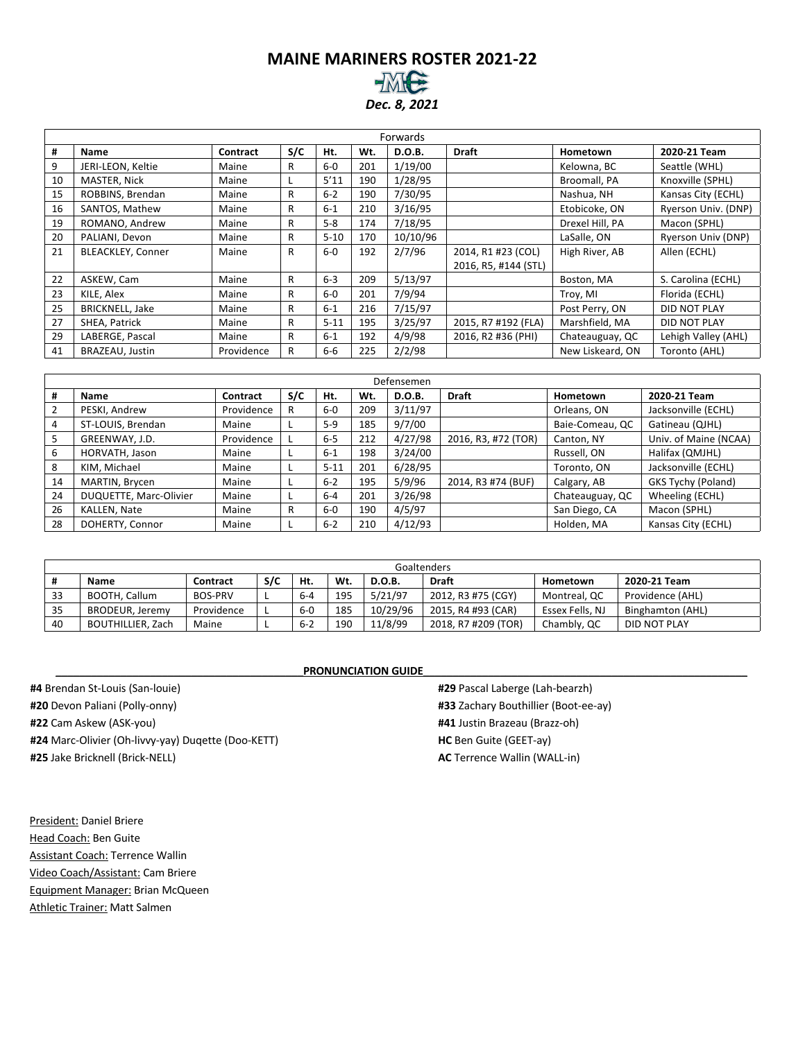#### **MAINE MARINERS ROSTER 2021-22** *Dec. 8, 2021*

|    | Forwards                 |            |     |          |     |          |                      |                  |                     |  |  |  |  |
|----|--------------------------|------------|-----|----------|-----|----------|----------------------|------------------|---------------------|--|--|--|--|
| #  | Name                     | Contract   | S/C | Ht.      | Wt. | D.O.B.   | <b>Draft</b>         | Hometown         | 2020-21 Team        |  |  |  |  |
| 9  | JERI-LEON, Keltie        | Maine      | R   | $6-0$    | 201 | 1/19/00  |                      | Kelowna, BC      | Seattle (WHL)       |  |  |  |  |
| 10 | MASTER, Nick             | Maine      |     | 5'11     | 190 | 1/28/95  |                      | Broomall, PA     | Knoxville (SPHL)    |  |  |  |  |
| 15 | ROBBINS, Brendan         | Maine      | R   | $6 - 2$  | 190 | 7/30/95  |                      | Nashua, NH       | Kansas City (ECHL)  |  |  |  |  |
| 16 | SANTOS, Mathew           | Maine      | R   | $6 - 1$  | 210 | 3/16/95  |                      | Etobicoke, ON    | Ryerson Univ. (DNP) |  |  |  |  |
| 19 | ROMANO, Andrew           | Maine      | R   | $5 - 8$  | 174 | 7/18/95  |                      | Drexel Hill, PA  | Macon (SPHL)        |  |  |  |  |
| 20 | PALIANI, Devon           | Maine      | R   | $5 - 10$ | 170 | 10/10/96 |                      | LaSalle, ON      | Ryerson Univ (DNP)  |  |  |  |  |
| 21 | <b>BLEACKLEY, Conner</b> | Maine      | R   | $6-0$    | 192 | 2/7/96   | 2014, R1 #23 (COL)   | High River, AB   | Allen (ECHL)        |  |  |  |  |
|    |                          |            |     |          |     |          | 2016, R5, #144 (STL) |                  |                     |  |  |  |  |
| 22 | ASKEW, Cam               | Maine      | R   | $6-3$    | 209 | 5/13/97  |                      | Boston, MA       | S. Carolina (ECHL)  |  |  |  |  |
| 23 | KILE, Alex               | Maine      | R   | $6-0$    | 201 | 7/9/94   |                      | Troy, MI         | Florida (ECHL)      |  |  |  |  |
| 25 | <b>BRICKNELL, Jake</b>   | Maine      | R   | $6 - 1$  | 216 | 7/15/97  |                      | Post Perry, ON   | DID NOT PLAY        |  |  |  |  |
| 27 | SHEA, Patrick            | Maine      | R   | $5 - 11$ | 195 | 3/25/97  | 2015, R7 #192 (FLA)  | Marshfield, MA   | DID NOT PLAY        |  |  |  |  |
| 29 | LABERGE, Pascal          | Maine      | R   | $6 - 1$  | 192 | 4/9/98   | 2016, R2 #36 (PHI)   | Chateauguay, QC  | Lehigh Valley (AHL) |  |  |  |  |
| 41 | BRAZEAU, Justin          | Providence | R   | 6-6      | 225 | 2/2/98   |                      | New Liskeard, ON | Toronto (AHL)       |  |  |  |  |

|    |                        |            |     |          |     | Defensemen |                     |                 |                       |
|----|------------------------|------------|-----|----------|-----|------------|---------------------|-----------------|-----------------------|
| #  | <b>Name</b>            | Contract   | S/C | Ht.      | Wt. | D.O.B.     | <b>Draft</b>        | Hometown        | 2020-21 Team          |
| 2  | PESKI, Andrew          | Providence | R   | $6-0$    | 209 | 3/11/97    |                     | Orleans, ON     | Jacksonville (ECHL)   |
| 4  | ST-LOUIS, Brendan      | Maine      |     | $5-9$    | 185 | 9/7/00     |                     | Baie-Comeau, QC | Gatineau (QJHL)       |
| 5  | GREENWAY, J.D.         | Providence |     | $6-5$    | 212 | 4/27/98    | 2016, R3, #72 (TOR) | Canton, NY      | Univ. of Maine (NCAA) |
| 6  | HORVATH, Jason         | Maine      |     | $6 - 1$  | 198 | 3/24/00    |                     | Russell, ON     | Halifax (QMJHL)       |
| 8  | KIM, Michael           | Maine      |     | $5 - 11$ | 201 | 6/28/95    |                     | Toronto, ON     | Jacksonville (ECHL)   |
| 14 | MARTIN, Brycen         | Maine      |     | $6 - 2$  | 195 | 5/9/96     | 2014, R3 #74 (BUF)  | Calgary, AB     | GKS Tychy (Poland)    |
| 24 | DUQUETTE, Marc-Olivier | Maine      |     | $6 - 4$  | 201 | 3/26/98    |                     | Chateauguay, QC | Wheeling (ECHL)       |
| 26 | KALLEN, Nate           | Maine      | R   | $6-0$    | 190 | 4/5/97     |                     | San Diego, CA   | Macon (SPHL)          |
| 28 | DOHERTY, Connor        | Maine      |     | $6 - 2$  | 210 | 4/12/93    |                     | Holden, MA      | Kansas City (ECHL)    |

|    |                   |                |     |         |     |               | Goaltenders         |                 |                  |
|----|-------------------|----------------|-----|---------|-----|---------------|---------------------|-----------------|------------------|
|    | <b>Name</b>       | Contract       | S/C | Ht.     | Wt. | <b>D.O.B.</b> | <b>Draft</b>        | Hometown        | 2020-21 Team     |
| 33 | BOOTH, Callum     | <b>BOS-PRV</b> |     | $6 - 4$ | 195 | 5/21/97       | 2012, R3 #75 (CGY)  | Montreal, QC    | Providence (AHL) |
| 35 | BRODEUR, Jeremy   | Providence     |     | $6-0$   | 185 | 10/29/96      | 2015, R4 #93 (CAR)  | Essex Fells, NJ | Binghamton (AHL) |
| 40 | BOUTHILLIER, Zach | Maine          |     | $6 - 2$ | 190 | 11/8/99       | 2018, R7 #209 (TOR) | Chambly, QC     | DID NOT PLAY     |

**#4** Brendan St-Louis (San-louie) **#20** Devon Paliani (Polly-onny) **#22** Cam Askew (ASK-you) **#24** Marc-Olivier (Oh-livvy-yay) Duqette (Doo-KETT) **#25** Jake Bricknell (Brick-NELL)

#### **PRONUNCIATION GUIDE\_**

**#29** Pascal Laberge (Lah-bearzh) **#33** Zachary Bouthillier (Boot-ee-ay) **#41** Justin Brazeau (Brazz-oh) **HC** Ben Guite (GEET-ay) **AC** Terrence Wallin (WALL-in)

President: Daniel Briere Head Coach: Ben Guite Assistant Coach: Terrence Wallin Video Coach/Assistant: Cam Briere Equipment Manager: Brian McQueen Athletic Trainer: Matt Salmen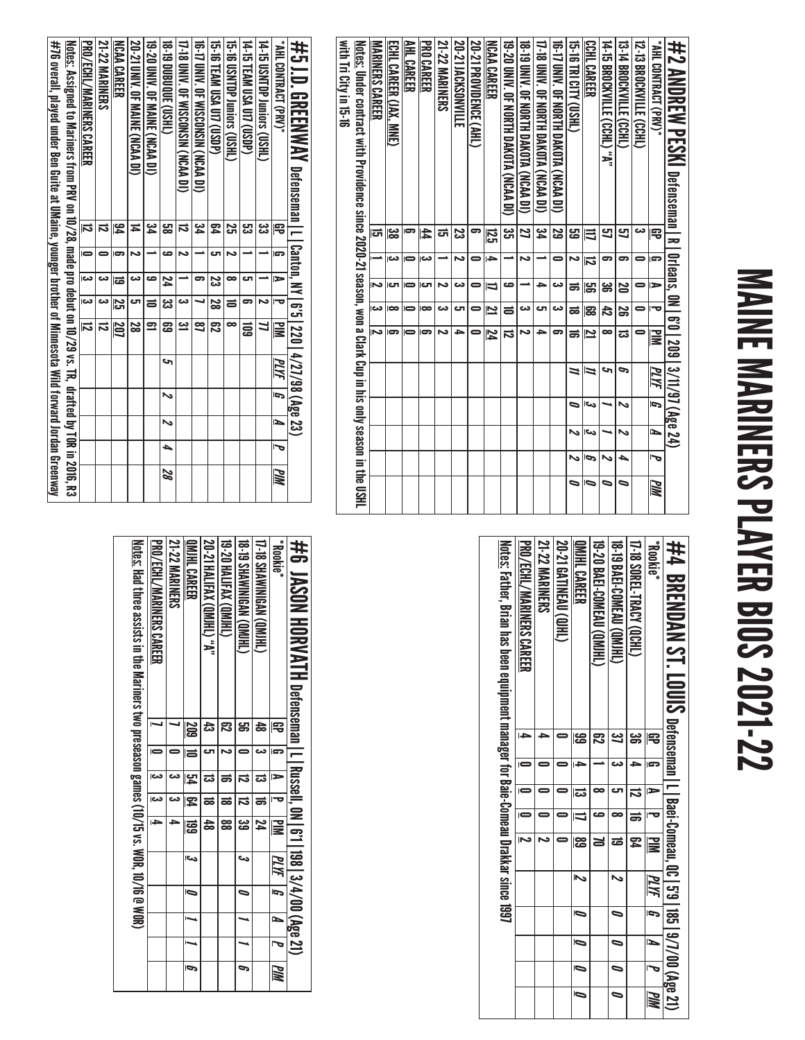# MAINE MARINERS PLAYER BIOS 2021-22 MAINE MARINERS PLAYER BIOS 2021-22

| with Tricity in 19-16 | <u>Notes:</u> Under contract with Providence since 2020-21 season, won a Clark Cup in his only season in the USHL | <b>MARINERS CAREER</b> | <b>ECHL CAREER (JAX, MNE)</b> | AHL CAREER     | <b>PRO CAREER</b> | <b>21-22 MARINERS</b> | <b>SO-21 JACKSONVILLE</b> | <b>20-21 PROVIDENCE (AHL)</b> | <b>NCAA CAREER</b>      | 19-20 DNNY. OF NORTH DAKOTA (NCAA DI) | 18-19 DINA DE KOTH DAKOTA (NCAA DI) | 17-18 UNIV. OF NORTH DAKOTA (NCAA DI) | 10-17 CMN. OF NORTH DAKOLA (NCAN DI) | <b>CHSO ALLO BLACTSHE</b> | CCHL CAREER             | <b>14-15 BROCKVILLE (CCHL) "A"</b> | 13-14 BROCKVILLE (CCHL) | <b>12-13 BROCKVILLE (CCHL)</b> | *AHL CONTRACT (PR)* | #2 ΔΜΩΡΕΝΑ ΡΕΩΜΙ Defenseman I R I 0rleans, 0N I 6'0   209   3/11/97 (Age 24) |
|-----------------------|-------------------------------------------------------------------------------------------------------------------|------------------------|-------------------------------|----------------|-------------------|-----------------------|---------------------------|-------------------------------|-------------------------|---------------------------------------|-------------------------------------|---------------------------------------|--------------------------------------|---------------------------|-------------------------|------------------------------------|-------------------------|--------------------------------|---------------------|------------------------------------------------------------------------------|
|                       |                                                                                                                   | ದ                      | జ                             | ဓာ             | 44                | ದ                     | ಜ                         | 5                             | ឆ្ល                     | ین<br>آگ                              | 2                                   | 54                                    | 5g                                   | සු                        | ≡                       | 9                                  | 9                       | دى                             | ₽                   |                                                                              |
|                       |                                                                                                                   |                        | دى                            | $\blacksquare$ | دے                |                       | N                         |                               | $\rightarrow$           |                                       | N                                   |                                       | 0                                    | ىم                        | $\overline{\bf 5}$      | 5                                  | 5                       | 0                              | G                   |                                                                              |
|                       |                                                                                                                   | N                      | cл                            | $\blacksquare$ | iсл               | N                     | دے                        | 0                             | IJ                      | صه                                    |                                     | ے                                     | دے                                   | ಹ                         | မ္မာ                    | ౢౣ                                 | 20                      | 0                              | $\Rightarrow$       |                                                                              |
|                       |                                                                                                                   | دە                     | $\infty$                      | $\blacksquare$ | $\bullet$         | دە                    | ى                         |                               | $\overline{\mathbf{z}}$ | ᇹ                                     | دے                                  | టా                                    | دے                                   | ಹ                         | င္တ                     | ਨੈ                                 | န္တ                     | 0                              | ᅮ                   |                                                                              |
|                       |                                                                                                                   | N                      | 5                             |                | 5                 | N                     | ٩                         |                               | 74                      | ವ                                     | N                                   | ∍                                     | 5                                    | ಹ                         | $\overline{\mathbf{z}}$ | ∞                                  | ಪ                       |                                | $\mathbf{\Xi}$      |                                                                              |
|                       |                                                                                                                   |                        |                               |                |                   |                       |                           |                               |                         |                                       |                                     |                                       |                                      | 11                        | Z                       | حە                                 | P                       |                                | PLYF                |                                                                              |
|                       |                                                                                                                   |                        |                               |                |                   |                       |                           |                               |                         |                                       |                                     |                                       |                                      | 0                         | دما                     |                                    | N                       |                                | 5                   |                                                                              |
|                       |                                                                                                                   |                        |                               |                |                   |                       |                           |                               |                         |                                       |                                     |                                       |                                      | ゝ                         | الى                     |                                    | N                       |                                | И                   |                                                                              |
|                       |                                                                                                                   |                        |                               |                |                   |                       |                           |                               |                         |                                       |                                     |                                       |                                      | ぃ                         | G                       | N                                  | ▲                       |                                | J                   |                                                                              |
|                       |                                                                                                                   |                        |                               |                |                   |                       |                           |                               |                         |                                       |                                     |                                       |                                      | ⋼                         | 0                       | ⋼                                  | ∍                       |                                | WМ                  |                                                                              |

| #5 J.D. GREENWAY petenseman I I [ canton, MY   6'5   220   4/27/98 (Age 23)                                      |                |                |                          |                          |                         |                                 |   |                          |                |    |
|------------------------------------------------------------------------------------------------------------------|----------------|----------------|--------------------------|--------------------------|-------------------------|---------------------------------|---|--------------------------|----------------|----|
| " AHL CONTRACT (PRV)*                                                                                            | 雩              |                | $\overline{\phantom{a}}$ |                          | $\overline{\mathbb{R}}$ | $\overline{g}$   $\overline{M}$ |   | $\bar{a}$                | $\bar{z}$      | ИM |
| 14-15 USNTDP Juniors (CSYH)                                                                                      | دە<br>دى       |                |                          | $\overline{\phantom{a}}$ |                         |                                 |   |                          |                |    |
| <b>14-15 TEAM USA U17 (USDP)</b>                                                                                 | ر<br>دى        |                | ĒП                       | 5                        | ឨ                       |                                 |   |                          |                |    |
| 15-16 USNTDP Juniors (USHL)                                                                                      | S              |                | œ                        | $\equiv$                 | ᇹ                       |                                 |   |                          |                |    |
| <b>15-16 TEAM USA UIT (USDP)</b>                                                                                 | 54             | rب             |                          | 23   28   62             |                         |                                 |   |                          |                |    |
| 16-17 DNV. OF WISCONSIN (NCAA DI)                                                                                | <u>یہ</u>      |                | 5                        |                          | g                       |                                 |   |                          |                |    |
| 17-18 DNN: OF WISCONSIN (NCAA DI)                                                                                | ವ              |                |                          | دە                       | <u>يە</u>               |                                 |   |                          |                |    |
| 18-19 DDD000 (USHL)                                                                                              | မ္မာ<br>ထ      | ص              |                          | <b>24</b>   33   69      |                         | S                               | Z | $\overline{\phantom{0}}$ | $\overline{a}$ | 87 |
| 19-20 UNIV. OF MAINE (NCAA DI)                                                                                   | ین<br>4        |                | ڡ                        | $\equiv$                 | Ξ                       |                                 |   |                          |                |    |
| 20-21 UNIV. OF MAINE (NCAA DI)                                                                                   | ≖              |                | دى                       | c                        | 28                      |                                 |   |                          |                |    |
| <b>NCAA CAREER</b>                                                                                               | 54             |                | ಹ                        | 25 207                   |                         |                                 |   |                          |                |    |
| <b>21-22 MARINERS</b>                                                                                            |                |                |                          | ಹ                        |                         |                                 |   |                          |                |    |
| <b>PRO/ECHL/MARINERS CAREER</b>                                                                                  | $\overline{5}$ | $\blacksquare$ | $\overline{\mathbf{5}}$  | $\overline{\mathbf{c}}$  | $\overline{5}$          |                                 |   |                          |                |    |
| <u>Notes:</u> Assigned to Mariners from PRV on 10/28, made pro debut on 10/29 vs. TR, drafted by TOR in 2016, R3 |                |                |                          |                          |                         |                                 |   |                          |                |    |
| #76 overall, played under Ben Guite at UMaine, younger brother of Minnesota Wild forward Jordan Greenway         |                |                |                          |                          |                         |                                 |   |                          |                |    |

| 井4 BRENDAN ST. LOUS Defenseman I I Baei-Comeau, 00, 139, 187/00 (Age 21)                  |     |   |   |                |                         |                         |                          |   |                          |                          |
|-------------------------------------------------------------------------------------------|-----|---|---|----------------|-------------------------|-------------------------|--------------------------|---|--------------------------|--------------------------|
| <b>Rookie</b> *                                                                           |     | E | Þ |                | $\overline{\mathbf{M}}$ | PLYF                    | J                        | N |                          | WW                       |
| 17-18 SOREL-TRACY (QCHL)                                                                  | ఴ   |   | ದ | $\Rightarrow$  | 79                      |                         |                          |   |                          |                          |
| 18-19 BAEI-COMEAU (OMIHL)                                                                 |     |   | ౮ | ∞              | ಹ                       | ゝ                       | 0                        | D | $\overline{\phantom{0}}$ | $\overline{\phantom{0}}$ |
| 19-20 BAEI-COMEAU (QMIHL)                                                                 | ఐ   |   |   | ص              |                         |                         |                          |   |                          |                          |
| QMIHL CAREER                                                                              | န္မ | F | ದ |                | န္မ                     | $\overline{\mathbf{z}}$ | $\overline{\phantom{0}}$ | Ō | Ō                        | Ō                        |
| 20-21 GATINEAU (QJHL)                                                                     |     |   |   |                | 0                       |                         |                          |   |                          |                          |
| <b>21-22 MARINERS</b>                                                                     |     |   |   |                | Z                       |                         |                          |   |                          |                          |
| PRO/ECHL/MARINERS CAREER                                                                  |     |   |   | $\blacksquare$ | Z                       |                         |                          |   |                          |                          |
| <u>Notes:</u> Father, Brian has been equipment manager for Baie-Comeau Drakkar since 1997 |     |   |   |                |                         |                         |                          |   |                          |                          |

| Notics: Har three assists in the Mariners two presease games (10/15 vs. MOR) 10/16 @ MOR) | <b>PRO/ECHL/MARINERS CAREER</b> | <b>21-22 MARINERS</b> | <b>OMIHL CAREER</b> | <b>20-21 HALIFAX (QMJHL) "A"</b> | <b>THIND XVITEVS GOVINT</b> | <b>18. DIVINIMENT CIVILITY</b> | <b>17-18 SHAWINIGAN (QMJHL)</b> | <b>Rookie</b> * | #6 JASON HORVATH Decensem   Li 2019   374700 (Age 27) |
|-------------------------------------------------------------------------------------------|---------------------------------|-----------------------|---------------------|----------------------------------|-----------------------------|--------------------------------|---------------------------------|-----------------|-------------------------------------------------------|
|                                                                                           |                                 |                       | <b>209</b>          |                                  |                             |                                | 48                              | 宅               |                                                       |
|                                                                                           |                                 |                       | E                   |                                  |                             |                                |                                 | l STP           |                                                       |
|                                                                                           | دے                              |                       | 54                  | ದ                                | ಹ                           | ವ                              | ವ                               | $\Rightarrow$   |                                                       |
|                                                                                           | نعا                             |                       | 54                  | ಹ                                | ಹ                           | ನ                              | ಹ                               |                 |                                                       |
|                                                                                           | I÷                              |                       | 區                   |                                  | 88                          | జ                              | 74                              | 冒               |                                                       |
|                                                                                           |                                 |                       | احى                 |                                  |                             | دے                             |                                 | PLYF            |                                                       |
|                                                                                           |                                 |                       | Ō                   |                                  |                             | っ                              |                                 | Ĩ,              |                                                       |
|                                                                                           |                                 |                       |                     |                                  |                             |                                |                                 | L               |                                                       |
|                                                                                           |                                 |                       |                     |                                  |                             |                                |                                 | J               |                                                       |
|                                                                                           |                                 |                       | Ģ                   |                                  |                             | P                              |                                 | PIM             |                                                       |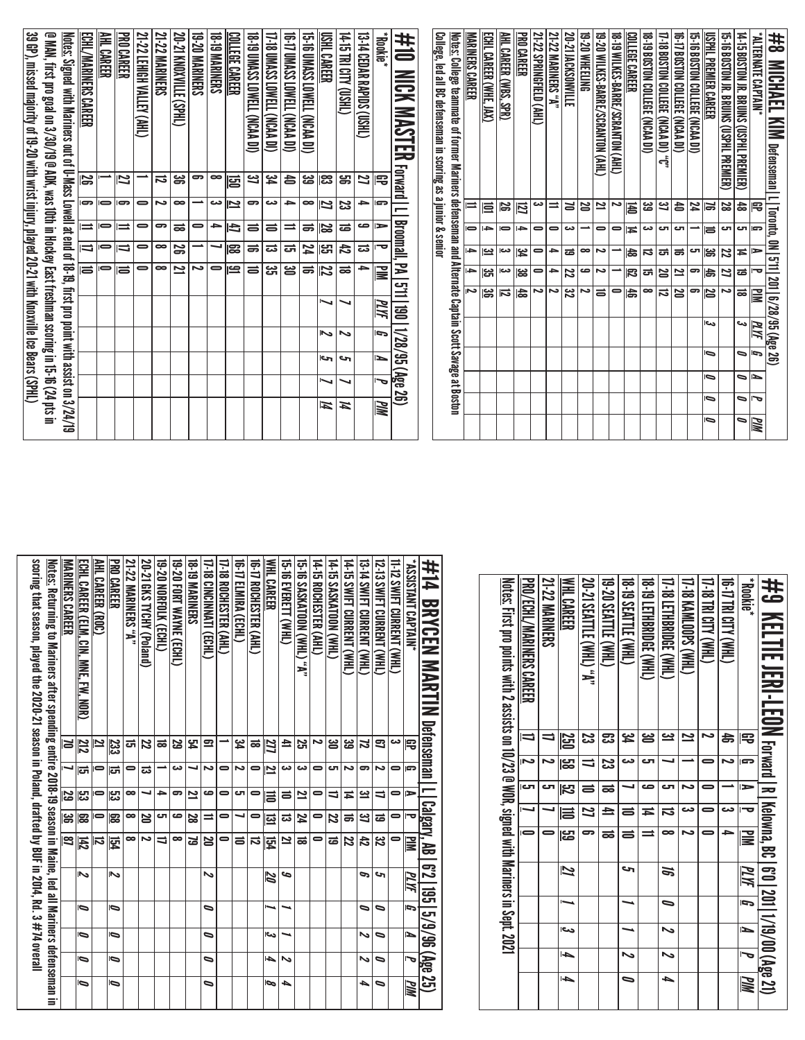| #8<br><b>MICHAEL</b><br><b>KIM</b> Defenseman <u>  L</u>                                                        |                |           |                |                          |           | Toronto, ON   5'11   201   6/28/95 (Age 26) |        |         |           |                 |    |    |
|-----------------------------------------------------------------------------------------------------------------|----------------|-----------|----------------|--------------------------|-----------|---------------------------------------------|--------|---------|-----------|-----------------|----|----|
| <b>ALTERNATE CAPTAIN*</b>                                                                                       |                | 몽         | Ģ              | ⋗                        | ᅮ         | ≧                                           | PLYF   | G       | ►         |                 | ত  | MМ |
| 14-15 BOSTON JR. BRUINS (USPHI PREMIER)                                                                         |                | ㅎ         | Ċ              | 4                        | $\vec{a}$ | ಹ                                           | دى     | ⋼       | $\bullet$ | ⋼               |    | ๑  |
| USPHL PREMIER CAREER<br>15-16 BOSTON JR. BRUINS (USPHL PREMIER)                                                 |                | 22<br>ь   | C<br>ᇹ         | မ္တ<br>22                | お<br>2    | 20<br>Ζ                                     | اص     | Ō       | ∍         | $\bullet$       |    | ∍  |
| 15-16 BOSTON COLLEGE (NCAA DI)                                                                                  |                | 24        |                | ال                       | ౚ         | 9                                           |        |         |           |                 |    |    |
| 16-17 BOSTON COLLEGE (NCAA DI)                                                                                  |                | ∣੬        | Ċ              | ಹ                        | ≌         | 25                                          |        |         |           |                 |    |    |
| 17-18 BOSTON COLLEGE (NCAA DI) "C"                                                                              |                | یع        | τ              | 급                        | N         | 2                                           |        |         |           |                 |    |    |
| 18 -19 BOSTON COLLEGE (NCAA DI)                                                                                 |                | జ         | دى             | ವ                        | ದ         | $\infty$                                    |        |         |           |                 |    |    |
| COLLEGE CAREER                                                                                                  |                | 固         | Ħ              | 쑪                        | 閃         | お                                           |        |         |           |                 |    |    |
| 18 - 19 MILKES-BARRE/SCRANTON (AHL)                                                                             |                | Z         | $\bullet$      |                          |           | $\bullet$                                   |        |         |           |                 |    |    |
| 19-20 WILKES-BARRE/SCRANTON (AHL)                                                                               |                | 21        | $\bullet$      | د                        | دە        | $\equiv$                                    |        |         |           |                 |    |    |
| 19-20 WHEELING                                                                                                  |                | N         |                | $\bullet$                | ص         | د                                           |        |         |           |                 |    |    |
| 20-21 JACKSONVILLE                                                                                              |                | ă         | دى             | ᇹ                        | 22        | ಜ                                           |        |         |           |                 |    |    |
| 21-22 MARINERS "A"                                                                                              |                | $\equiv$  | 0              | )}                       | ᡨ         | ى                                           |        |         |           |                 |    |    |
| 21-22 SPRINGFIELD (AHL)                                                                                         |                | دے        | $\bullet$      | $\bullet$                | 0         | د                                           |        |         |           |                 |    |    |
| <b>PRO CAREER</b>                                                                                               |                | 囚         | ŀÞ             | اپي                      | జ         | 齿                                           |        |         |           |                 |    |    |
| AHL CAREER (WBS, SPR)                                                                                           |                | <b>ZG</b> | $\overline{ }$ | دم                       | دم        | $\overline{\mathbf{5}}$                     |        |         |           |                 |    |    |
| ECHL CAREER (WHE,<br>$\overline{\mathbb{M}}$                                                                    |                | ≣         | i din          | یے                       | یچ        | မ္တ                                         |        |         |           |                 |    |    |
| <b>MARINERS CAREER</b>                                                                                          |                |           | 0              | $\overline{\phantom{0}}$ | ÷         |                                             |        |         |           |                 |    |    |
| <u>Notes:</u> College teammate of former Mariners defenseman and Alternate Captain Scott Savage at Boston       |                |           |                |                          |           |                                             |        |         |           |                 |    |    |
| <u>College, led all BC defenseman in scoring as a junior &amp; senior</u>                                       |                |           |                |                          |           |                                             |        |         |           |                 |    |    |
| #10<br>$\overline{\phantom{0}}$<br>冥<br><b>NAS</b><br>≂                                                         | <b>Forward</b> |           | Broomall,      |                          | E         | $\Xi$<br>$\overline{\mathbf{a}}$            |        | 1/28/95 | 阁         | $\overline{50}$ |    |    |
| *hookie                                                                                                         | 宅              | G         | $\Rightarrow$  | ᠊ᢦ                       | ≣         | PLYF                                        | G      | ►       |           | ᠊ᢦ              | ЫW |    |
| 13-14 CEDAR RAPIDS (USHL)                                                                                       | 21             | ≏         | ص              | ವ                        | ≏         |                                             |        |         |           |                 |    |    |
| 14-15 TRI CITY<br>(THSII)                                                                                       | S.             | జ         | ಹ              | 忐                        | ಹ         | ↘                                           | $\sim$ | حہ      |           |                 | И  |    |
| USHL CAREER                                                                                                     | ု့အ            | 12        | ၊္တ            | ]업                       | 72        |                                             | Z      | احے     |           |                 | Ħ  |    |
| 15-TO UMASS LOWELL (NCAA DI)                                                                                    | జ              | $\bullet$ | ಹ              | 24                       | ಹ         |                                             |        |         |           |                 |    |    |
| 16-T7 UMASS LOWELL (NCAA DI)                                                                                    | 合              | ⇒         | ≕              | ᇘ                        | ౻         |                                             |        |         |           |                 |    |    |
| 17-18 UMASS LOWELL (NCAA DI)                                                                                    | پو             | دے        | ᇹ              | ಪ                        | ಜ         |                                             |        |         |           |                 |    |    |
| TEMOT SSYNO 61-81<br>(ICAA DI)                                                                                  | ఆ              | ౼         | ᇹ              | ಹ                        | ᇹ         |                                             |        |         |           |                 |    |    |
| <u>COLLEGE CAREER</u>                                                                                           | 덩              | <u>r</u>  | 凸              | 153                      | <u>ڪ</u>  |                                             |        |         |           |                 |    |    |
| <b>18-19 MARINERS</b>                                                                                           | ∞              | دى        | )}             |                          | 0         |                                             |        |         |           |                 |    |    |
| <b>19-20 MARINERS</b>                                                                                           | ౚ              | ∸         | 0              |                          | ∼         |                                             |        |         |           |                 |    |    |
| 20-21 KNOXVILLE<br>(THE)                                                                                        | ఙ              | $\bullet$ | ಹ              | æ                        | ᅼ         |                                             |        |         |           |                 |    |    |
| <b>21-22 MARINERS</b>                                                                                           | ನ              | د٦        | ൳              | $\bullet$                | $\bullet$ |                                             |        |         |           |                 |    |    |
| 21-22 LEHIGH VALLEY<br>(AHL                                                                                     |                | $\bullet$ | 0              | 0                        | 0         |                                             |        |         |           |                 |    |    |
| <b>PRO CAREER</b>                                                                                               | 12             | G         | $\equiv$       | $\blacksquare$           | Iz        |                                             |        |         |           |                 |    |    |
| AHL CARER                                                                                                       |                | $\bar{ }$ | $\bullet$      | $\bullet$                | $\bullet$ |                                             |        |         |           |                 |    |    |
| ECHL/MARINERS CAREER                                                                                            | ß              | G         | $\equiv$       | $\overline{\phantom{0}}$ | ゠         |                                             |        |         |           |                 |    |    |
| <u>Notes:</u> Signed with Mariners out of V-Mass Lowell at end of 18-19, first pro point with assist on 3/24/19 |                |           |                |                          |           |                                             |        |         |           |                 |    |    |
| @ MAN, first pro goal on 3/30/19 @ ADK, was 10th in Hockey East freshman scoring in 15-16 (24 pts in            |                |           |                |                          |           |                                             |        |         |           |                 |    |    |
| 39 GP), missed majority of 19-20 with wrist injury, played 20-21 with Knoxville Ice Bears (SPHL)                |                |           |                |                          |           |                                             |        |         |           |                 |    |    |

| "ASSISTANT CAPTAIN<br>#14 BRYCEN MANTIN Defenseman<br>11-12 SWIFT CURRENT (WHL)<br><u>Notes:</u> First pro points with 2 assists on 10/23 @ WOR, signed with Mariners in Sept. 2021<br>#9 KELTIE JERI-LEON <sub>Forward I</sub> n<br>ಜ<br>Æ<br>ൠ<br>2<br>N<br>$\overline{\phantom{0}}$<br>جت<br>ਛੇ<br>宅<br><b><u>S30</u></b><br>ఔ<br>دە<br>閂<br>N<br>دى<br>د<br>G<br><u>ස</u><br>జ<br>ى<br>╛<br>G<br>0<br>iсл<br>ى<br>$\overline{\mathbf{z}}$<br>صه<br>ى<br>ىم<br>ᆯ<br>∍<br>ಹ<br>-<br>⋗<br>$\Rightarrow$<br>  Calgary, AB   6'2   195   5/9/96<br>  Calgary, AB   6'2   195<br>  Kelowna, BC   6'0   201   1/19/00 (Age 21)<br>Z<br>$\equiv$<br>دے<br>دے<br>ᇹ<br>0<br>О<br>≖<br>ನ<br>를<br>0<br>$\blacksquare$<br>မ္မာ<br>5<br>N<br><b>NIM</b><br>$\equiv$<br>0<br>د<br>ಹ<br>∞<br>0<br>$\mathbf{\Xi}$<br>حہ<br>2<br>MИ<br>æ<br>PLYF<br>6<br>$\bullet$<br>Ĩ,<br>P<br>احد<br>ゝ<br>ь<br>$\overline{\phantom{a}}$<br>ь<br>∾<br>ゝ<br>J<br>4<br>ИM<br>0<br>┶<br><b>MM</b> |  |  |                          |                       |                  |                                |                     |                            |                        |                        |                      |                      |                     |               |  |
|--------------------------------------------------------------------------------------------------------------------------------------------------------------------------------------------------------------------------------------------------------------------------------------------------------------------------------------------------------------------------------------------------------------------------------------------------------------------------------------------------------------------------------------------------------------------------------------------------------------------------------------------------------------------------------------------------------------------------------------------------------------------------------------------------------------------------------------------------------------------------------------------------------------------------------------------------------------------|--|--|--------------------------|-----------------------|------------------|--------------------------------|---------------------|----------------------------|------------------------|------------------------|----------------------|----------------------|---------------------|---------------|--|
|                                                                                                                                                                                                                                                                                                                                                                                                                                                                                                                                                                                                                                                                                                                                                                                                                                                                                                                                                                    |  |  | PRO/ECHL/MARINERS CAREER | <b>21-22 MARINERS</b> | <b>WHLCAREER</b> | <b>20-21 SEATTLE (WHL) "A"</b> | 19-20 SEATTLE (WHL) | <b>18-19 SEATTLE (WHL)</b> | 18-BI LETHBRIDGE (WHL) | 17-18 LETHBRIDGE (WHL) | 17-18 KAMLOOPS (WHL) | 17-18 TRI CITY (WHL) | THM) ALICI BLU 4-91 | <b>Rookie</b> |  |
|                                                                                                                                                                                                                                                                                                                                                                                                                                                                                                                                                                                                                                                                                                                                                                                                                                                                                                                                                                    |  |  |                          |                       |                  |                                |                     |                            |                        |                        |                      |                      |                     |               |  |
|                                                                                                                                                                                                                                                                                                                                                                                                                                                                                                                                                                                                                                                                                                                                                                                                                                                                                                                                                                    |  |  |                          |                       |                  |                                |                     |                            |                        |                        |                      |                      |                     |               |  |
|                                                                                                                                                                                                                                                                                                                                                                                                                                                                                                                                                                                                                                                                                                                                                                                                                                                                                                                                                                    |  |  |                          |                       |                  |                                |                     |                            |                        |                        |                      |                      |                     |               |  |
|                                                                                                                                                                                                                                                                                                                                                                                                                                                                                                                                                                                                                                                                                                                                                                                                                                                                                                                                                                    |  |  |                          |                       |                  |                                |                     |                            |                        |                        |                      |                      |                     |               |  |
|                                                                                                                                                                                                                                                                                                                                                                                                                                                                                                                                                                                                                                                                                                                                                                                                                                                                                                                                                                    |  |  |                          |                       |                  |                                |                     |                            |                        |                        |                      |                      |                     |               |  |
|                                                                                                                                                                                                                                                                                                                                                                                                                                                                                                                                                                                                                                                                                                                                                                                                                                                                                                                                                                    |  |  |                          |                       |                  |                                |                     |                            |                        |                        |                      |                      |                     |               |  |
|                                                                                                                                                                                                                                                                                                                                                                                                                                                                                                                                                                                                                                                                                                                                                                                                                                                                                                                                                                    |  |  |                          |                       |                  |                                |                     |                            |                        |                        |                      |                      |                     |               |  |
|                                                                                                                                                                                                                                                                                                                                                                                                                                                                                                                                                                                                                                                                                                                                                                                                                                                                                                                                                                    |  |  |                          |                       |                  |                                |                     |                            |                        |                        |                      |                      |                     |               |  |
|                                                                                                                                                                                                                                                                                                                                                                                                                                                                                                                                                                                                                                                                                                                                                                                                                                                                                                                                                                    |  |  |                          |                       |                  |                                |                     |                            |                        |                        |                      |                      |                     |               |  |
|                                                                                                                                                                                                                                                                                                                                                                                                                                                                                                                                                                                                                                                                                                                                                                                                                                                                                                                                                                    |  |  |                          |                       |                  |                                |                     |                            |                        |                        |                      |                      |                     |               |  |

| scoring that season, played the 2020-21 season in Poland, drafted by BUF in 2014, Rd. 3 #74 overall<br><u>Notes:</u> Returning to Mariners after spending entire 2018-19 season in Maine, led all Mariners defenseman in | MARINERS CAREER | ECHL CAREER (ELM.<br>์<br>⊇ิ<br>NE.<br>Þ.<br><b>NOK</b> | AHL CAREER (ROC)        | <b>PRO CAREER</b> | "A" SAJNRINERS" | 20-21 GKS TYCHY (Poland) | 19-20 NORFOLK (ECHL) | 19-20 FORT WAYNE (ECHL) | <b>18-19 MARINERS</b> | IT-18 CINCINNATI (ECHL) | I7-18 ROCHESTER (AHL) | <b>(GMIRA (ECHL)</b> | IG-17 ROCHESTER (AHL) | <b>WHL CAREER</b> | IS-18 EVERETT (WHL) | <b>CHANG MONITOR CWHL)</b><br>ؚۣٙ | 14-15 ROCHESTER (AHL) | 14-15 SASKATOON (WHL) | 14-15 SWIFT CURENT (WHL) | 13-14 SMIFT CORENT (WHL) | 12-13 SWIFT CURRENT (WHL) | <b>11-12 SWEL CORRENT (WH)</b> | "ASSISTANT CAPTAIN" | #14<br>BRYCEN MARTIN Defenseman |
|--------------------------------------------------------------------------------------------------------------------------------------------------------------------------------------------------------------------------|-----------------|---------------------------------------------------------|-------------------------|-------------------|-----------------|--------------------------|----------------------|-------------------------|-----------------------|-------------------------|-----------------------|----------------------|-----------------------|-------------------|---------------------|-----------------------------------|-----------------------|-----------------------|--------------------------|--------------------------|---------------------------|--------------------------------|---------------------|---------------------------------|
|                                                                                                                                                                                                                          | ă               | $\overline{51}$                                         | <u>21</u>               | 233               | ದ               | 22                       | ಹ                    | 29                      | 54                    | ≘                       |                       | 54                   | ಹ                     | 27                | ≞                   | 25                                | ∾                     | ఴ                     | ಜ                        | 2                        | ౩                         | دى                             | 吊                   |                                 |
|                                                                                                                                                                                                                          |                 | ದ                                                       | 0                       | ಕ                 |                 | ದ                        |                      | دە                      | ┙                     | د٦                      | 0                     | د٦                   | 0                     | 12                | دى                  | دى                                | 0                     | ى                     | د٦                       | 5                        | د٦                        | 0                              | P                   |                                 |
|                                                                                                                                                                                                                          | 59              | ဥ                                                       | 0                       | ပ္မာ              | $\bullet$       | ┙                        | ᆋ                    | ິ                       | 2                     | ص                       | 0                     | اک                   | 0                     | Ħ                 | ᇹ                   | ≃                                 | 0                     | ⇒                     | ≖                        | یے                       | ₹                         | 0                              | ∍                   |                                 |
|                                                                                                                                                                                                                          | ಜ               | æ                                                       | $\blacksquare$          | ඝ                 | $\bullet$       | 20                       | ى                    | ڡ                       | 29                    | =                       | 0                     |                      | 0                     | 囩                 | ದ                   | 24                                | 0                     | 22                    | ಹ                        | 3                        | ಹ                         | 0                              | ᅮ                   |                                 |
|                                                                                                                                                                                                                          | $\overline{a}$  | 142                                                     | $\overline{\mathbf{v}}$ | ፱                 | $\infty$        | د٦                       | ₹                    | ∞                       | ಡ                     | 20                      | 0                     | ᇹ                    | ನ                     | $\overline{54}$   | 2                   | ಹ                                 | 0                     | ಹ                     | 22                       | 42                       | 32                        | 0                              | <b>NIN</b>          | [Calgary, AB]                   |
|                                                                                                                                                                                                                          |                 | Ν                                                       |                         | $\bar{z}$         |                 |                          |                      |                         |                       | ふ                       |                       |                      |                       | 20                | G                   |                                   |                       |                       |                          | G                        | حہ                        |                                | МΜ                  | <u>កូ</u>                       |
|                                                                                                                                                                                                                          |                 | ∍                                                       |                         | ∍                 |                 |                          |                      |                         |                       | ∍                       |                       |                      |                       |                   |                     |                                   |                       |                       |                          | ∍                        | ∍                         |                                | G                   |                                 |
|                                                                                                                                                                                                                          |                 | b                                                       |                         | $\bullet$         |                 |                          |                      |                         |                       | ธ                       |                       |                      |                       | احى               |                     |                                   |                       |                       |                          | ゝ                        | ∍                         |                                | ъ                   | 96/6/1                          |
|                                                                                                                                                                                                                          |                 | ∍                                                       |                         | $\bullet$         |                 |                          |                      |                         |                       | ธ                       |                       |                      |                       | ▲                 | یہ                  |                                   |                       |                       |                          | ى                        | ∍                         |                                | 宝                   | (Age 25)                        |
|                                                                                                                                                                                                                          |                 | ∍                                                       |                         | $\bullet$         |                 |                          |                      |                         |                       | ∍                       |                       |                      |                       | Ø                 | ▲                   |                                   |                       |                       |                          | ▲                        | ∍                         |                                | MM                  |                                 |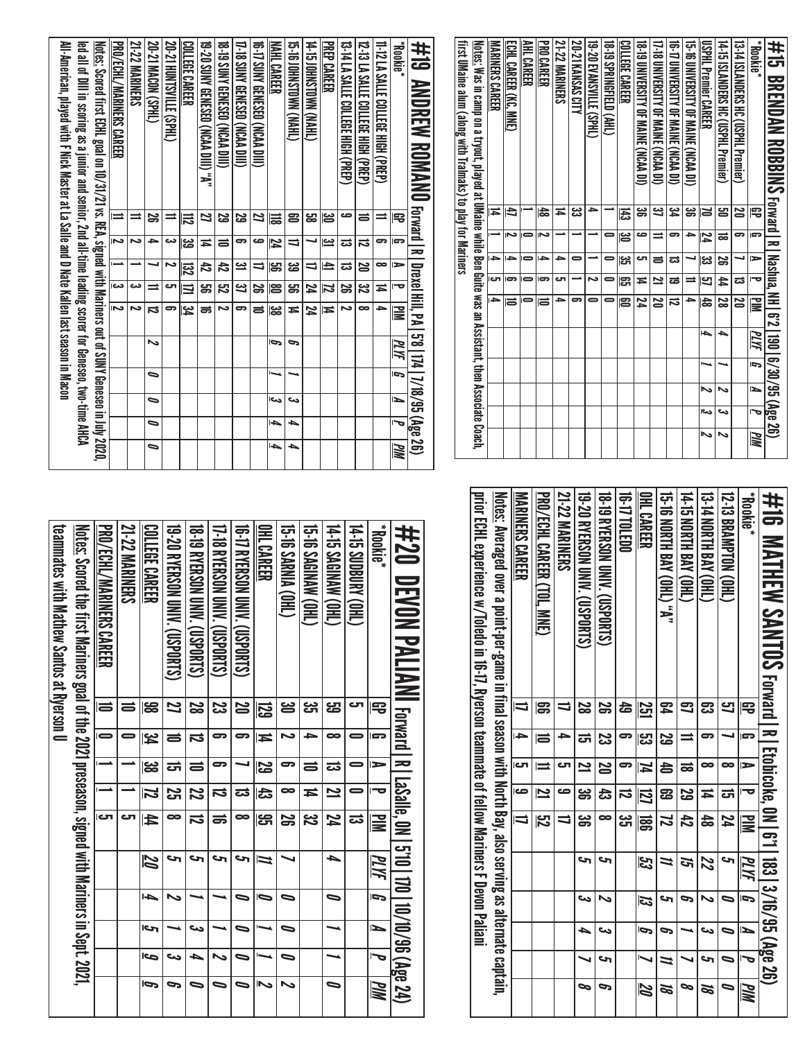| first UMaine alum (along with Tralmaks) to play for Mariners | <u>Notes:</u> Was in camp on a tryout, played at UMaine while Ben Guite was an Assistant, then Associate Coach, | <b>NARINERS CAREER</b><br>Ħ | ECHL CAREER (KC, MNE)<br>đ | AHL CAREER | PRO CAREER<br>齿 | 21-22 MARINERS<br>≖ | 20-21 KANSAS CITY<br>دع<br>د | 19-20 EVANSVILLE (SPHL)<br>٠ | 18.19 SPRINGETELD (AHL) | COLLEGE CAREER<br>퓮 | 18 - 19 DNIVERSILLY OF MAINE (NCAA DI)<br>ఴ | 17-18 UNIVERSITY OF MAINE (NCAA DI)<br>ݺ | 16-17 DNIVERSITY OF MAINE (NCAA DI)<br>ین<br>4 | 15-16 UNIVERSITY OF MAINE (NCAA DI)<br>ఴ | <b>USPHL Premier CAREER</b><br>N | 14-10 ISLANDERS HC (USPHL Premier)<br>ൠ | 13-14 ISLANDERS HC (USPHL Premier)<br>20 | <b>Rookie*</b><br>₽ | #15 BRENDAN ROBBINS forward I R   Nashua, NH   6'2   190   6/30/95 (Age 26) |
|--------------------------------------------------------------|-----------------------------------------------------------------------------------------------------------------|-----------------------------|----------------------------|------------|-----------------|---------------------|------------------------------|------------------------------|-------------------------|---------------------|---------------------------------------------|------------------------------------------|------------------------------------------------|------------------------------------------|----------------------------------|-----------------------------------------|------------------------------------------|---------------------|-----------------------------------------------------------------------------|
|                                                              |                                                                                                                 |                             |                            |            |                 |                     |                              |                              |                         | ఴ                   | ص                                           | ⋍                                        | 5                                              | ٠                                        | 72                               | ಹ                                       | 5                                        | G                   |                                                                             |
|                                                              |                                                                                                                 | →                           | ∼                          |            | د               | د                   |                              |                              |                         | ین<br>آن            | ౮                                           | ಕ                                        | ದ                                              |                                          | ಜ                                | S                                       |                                          | $\Rightarrow$       |                                                                             |
|                                                              |                                                                                                                 | cл                          | G                          |            | G               | دت                  |                              | Ñ                            |                         | ු                   | Ħ                                           | 2                                        | ಹ                                              |                                          | 9                                | 44                                      | ದ                                        | ত                   |                                                                             |
|                                                              |                                                                                                                 | $\rightarrow$               | Ħ                          | -          | Ħ               | د                   | 5                            |                              | -                       | 23                  | 24                                          | $\overline{\mathbf{z}}$                  | ವ                                              | -                                        | $\frac{4}{5}$                    | 23                                      | $\overline{\mathbf{z}}$                  | $\mathbf{u}$        |                                                                             |
|                                                              |                                                                                                                 |                             |                            |            |                 |                     |                              |                              |                         |                     |                                             |                                          |                                                |                                          | حەا                              | ٠                                       |                                          | ЙM                  |                                                                             |
|                                                              |                                                                                                                 |                             |                            |            |                 |                     |                              |                              |                         |                     |                                             |                                          |                                                |                                          | ►                                |                                         |                                          | b                   |                                                                             |
|                                                              |                                                                                                                 |                             |                            |            |                 |                     |                              |                              |                         |                     |                                             |                                          |                                                |                                          | 2                                | ぃ                                       |                                          | ъ                   |                                                                             |
|                                                              |                                                                                                                 |                             |                            |            |                 |                     |                              |                              |                         |                     |                                             |                                          |                                                |                                          | دما                              | دے                                      |                                          |                     |                                                                             |
|                                                              |                                                                                                                 |                             |                            |            |                 |                     |                              |                              |                         |                     |                                             |                                          |                                                |                                          | 2                                |                                         |                                          | WМ                  |                                                                             |

| #16 MATHEW SAMTOS Forward I R I Etobioske, 0N I 6'1   183  3/16/95 (Age 26)                                     |           |   |                  |                         |                |      |    |     |    |           |
|-----------------------------------------------------------------------------------------------------------------|-----------|---|------------------|-------------------------|----------------|------|----|-----|----|-----------|
| <b>Rookie*</b>                                                                                                  | ę         | G | $\triangleright$ |                         | $\mathbf{u}$   | PLYF | ū  | N   | ص∣ | MM        |
| 12-13 BRAMPTON (OHL)                                                                                            | 9         |   | ∞                | ದ                       | 74             | S    |    | 0   | 0  | 0         |
| 13-T4 NORTH BAY (OHL)                                                                                           | ఔ         | ິ | ∞                | ≖                       | $\frac{4}{5}$  | 22   |    | دما | c  | <b>st</b> |
| 14-15 NORTH BAY (OHL)                                                                                           | ౩         |   | ಹ                | 59                      | $\overline{t}$ | ল    | Þ  |     |    | ∞         |
| 15-16 NORTH BAY (OHL) "A"                                                                                       | 54        | S | 5                | සි                      | 21             | 11   |    | S   | N  | Ø         |
| OHL CAREER                                                                                                      | <u>51</u> | ಜ | N                | 囗                       | 冨              | 33   | 53 | Ō   |    | <b>ZQ</b> |
| 16-17 TOLED 0                                                                                                   | 숩         | 5 |                  | ವ                       | دى<br>5        |      |    |     |    |           |
| <b>18-19 AYERSON CLIVE (COPORTS)</b>                                                                            |           | ಜ | N                | ದೆ                      | $\bullet$      | S    |    | دى  | S  | P         |
| 19-20 RYERSON ONIK. (USPORTS)                                                                                   | 2<br>8    | ಕ | $\mathbf{z}$     | ၼ                       | ఴౢ             | S    | ده | ┶   |    | p         |
| 21-22 MARINERS                                                                                                  |           |   | ౮                | ص                       |                |      |    |     |    |           |
| PRO/UCHL CAREER (TOL. MNE)                                                                                      | ၼ         | ᇹ |                  | $\overline{\mathbf{z}}$ | 23             |      |    |     |    |           |
| MARINERS CAREER                                                                                                 |           | ŀ | ای               | ص                       |                |      |    |     |    |           |
| <u>Notes:</u> Averaged over a point-per-game in final season with North Bay, also serving as alternate captain, |           |   |                  |                         |                |      |    |     |    |           |
| prior ECHL experience w/Toleto in 16-17, Ayerson teammate of fellow Mariners F Devon Paliami                    |           |   |                  |                         |                |      |    |     |    |           |
|                                                                                                                 |           |   |                  |                         |                |      |    |     |    |           |

| #20 DEVON PALIANI Forward Partie, ON 1570   10/10/96 (Age 24)                                           |               |                |                  |                         |                         |      |     |                          |     |    |
|---------------------------------------------------------------------------------------------------------|---------------|----------------|------------------|-------------------------|-------------------------|------|-----|--------------------------|-----|----|
| <b>Rookie*</b>                                                                                          | 宅             |                | $\triangleright$ | ᅮ                       | $\overline{\mathbf{s}}$ | PLYF | ŋ   | L                        |     | MN |
| 14-15 SUBURK (OHL.                                                                                      | ى             |                | 0                |                         | ಹ                       |      |     |                          |     |    |
| 14-15 SAGINAW (OHL)                                                                                     | اي<br>ڪ       | œ              | ಪ                | $\mathbf{z}$            | 17                      | ┶    | ∍   |                          |     | ∍  |
| <b>GI-5 SAGINAW (OHL)</b>                                                                               | دە<br>آ       | 5              | 5                | Ħ                       | ಜ                       |      |     |                          |     |    |
| <b>G-16 SANAL (OHL)</b>                                                                                 | ൠ             |                | 5                | $\bullet$               | S                       |      |     | $\overline{\phantom{0}}$ | ∍   | ∾  |
| OHL CAREER                                                                                              | 52            | Ħ              | <b>SS</b>        | 忠                       | ဌ                       | Þ    | Ō   |                          |     |    |
| 16-17 AYERSON UNIV. (USPORTS)                                                                           | N             | 5              |                  | ದ                       | $\infty$                | حه   |     | $\overline{\phantom{0}}$ | =   |    |
| 11-18 RYERSON UNIV (USPORTS)                                                                            | 33<br>S       | 5              | ణ                | $\overline{\mathbf{u}}$ | ಹ                       | حه   |     |                          |     |    |
| 18-19 RYERSOM ONIX (COSPORTS)                                                                           | 8<br>8        | $\vec{v}$      | $\equiv$         | 72                      | $\vec{v}$               | S    |     | دے                       | 5   |    |
| 19-20 RYERSOM (INN) (ISAPORTS)                                                                          | Z             | $\equiv$       | ದ                | Σ,                      | œ                       | حہ   | 、   |                          | دے  | S  |
| COLLEGE CAREER                                                                                          | æ             | ۴٤             | မ္ထ              | $\overline{\bf 2}$      | $\overline{\sharp}$     | N    | l-b | احى                      | حەا | Ģ  |
| 21-22 MARINERS                                                                                          | 5             |                |                  |                         |                         |      |     |                          |     |    |
| PRO/ECHL/MARINERS CAREER                                                                                | $\Rightarrow$ | $\blacksquare$ |                  |                         | اف                      |      |     |                          |     |    |
| <u>Notes:</u> Scored the first Mariners goal of the 2021 preseason, signed with Mariners in Sept. 2021, |               |                |                  |                         |                         |      |     |                          |     |    |
| U notion of Pathew Sautos at Ryerson D                                                                  |               |                |                  |                         |                         |      |     |                          |     |    |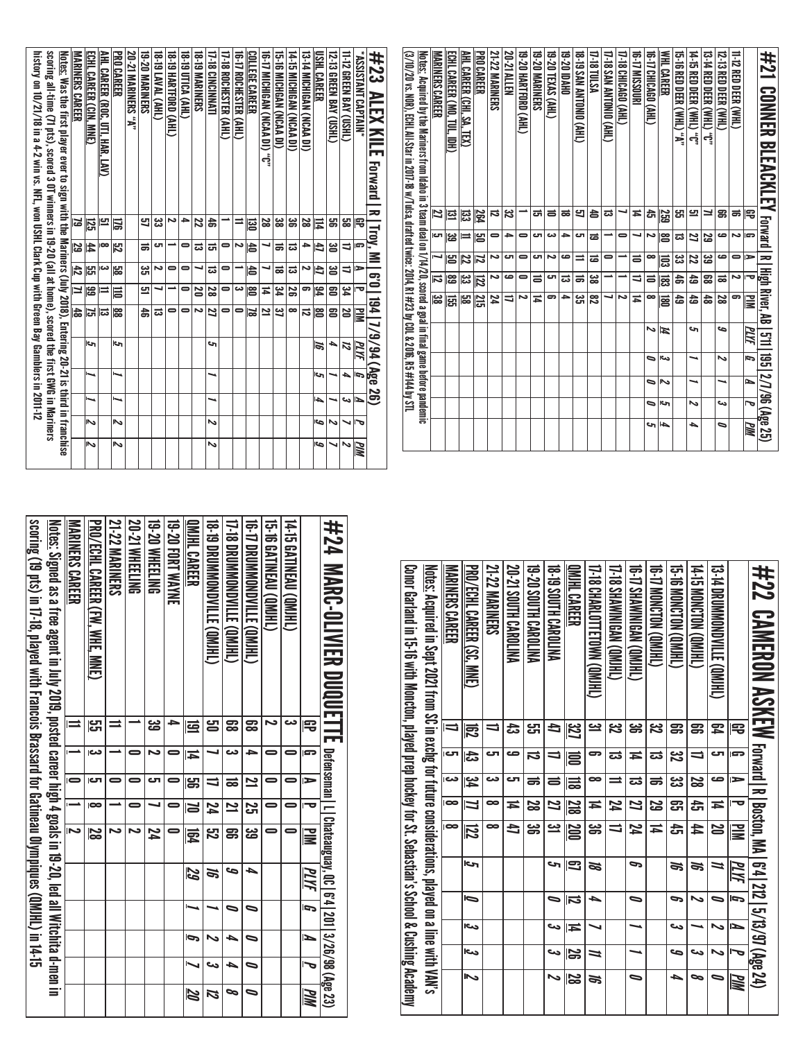|     |    |                 |      |            |                                          |                          |                                             |                       |                |                   | scoring all-time (71 pts), scored 3 OT winners in 19-20 (all at home), scored the first GWG in Mariners<br>history on 10/21/18 in a 4-2 win vs. NFL, won USHL Clark Cup with Green Bay Gamblers in 2011-12<br><u>Notes:</u> Was the first player ever to sign with the Mariners (July 20 18), Entering 20-21 is third in franchise |
|-----|----|-----------------|------|------------|------------------------------------------|--------------------------|---------------------------------------------|-----------------------|----------------|-------------------|------------------------------------------------------------------------------------------------------------------------------------------------------------------------------------------------------------------------------------------------------------------------------------------------------------------------------------|
|     |    |                 | ∽    |            |                                          | ΣŚ,<br>6                 | Z<br>ၼ                                      | $\frac{4}{5}$<br>ပ္ပြ | 29<br>$\sharp$ | <u>125</u><br>ಡ   | ECHL CAREER (CIN, MNE)<br><b>MARINERS CAREER</b>                                                                                                                                                                                                                                                                                   |
| ぃ   | ふ  |                 |      |            | c                                        | ದ                        | ⋍                                           | دى                    | $\infty$       | 므                 | <u>AHL CAREER (ROC, UTI, HAR, LAV)</u>                                                                                                                                                                                                                                                                                             |
| N   | N  |                 |      |            | احتا                                     | ၕ                        | 旨                                           | မ္ထာ                  | ಸ              | 旨                 | <b>PRO CAREER</b>                                                                                                                                                                                                                                                                                                                  |
|     |    |                 |      |            |                                          |                          |                                             |                       |                |                   | <b>20-21 MARINERS "A"</b>                                                                                                                                                                                                                                                                                                          |
|     |    |                 |      |            |                                          | お                        | 므                                           | ین<br>آن              | ಹ              | 5ì                | <b>19-20 MARINERS</b>                                                                                                                                                                                                                                                                                                              |
|     |    |                 |      |            |                                          | $\blacksquare$<br>ದ      | ∸                                           | $\bullet$<br>ى        | c<br>∸         | జ<br>∾            | <b>19-19 LAVAL (AHL)</b><br>18-19 HARTFORD (AHL)                                                                                                                                                                                                                                                                                   |
|     |    |                 |      |            |                                          | $\overline{\phantom{0}}$ | $\bullet$                                   | $\blacksquare$        | 0              | ٠                 | 18-19 UTICA (AHL)                                                                                                                                                                                                                                                                                                                  |
|     |    |                 |      |            |                                          | ∾                        | <b>S</b>                                    | ┙                     | ಡ              | 22                | <b>18-19 MARINERS</b>                                                                                                                                                                                                                                                                                                              |
| Ν   | ゝ  | ∼               | ∼    |            | حہ                                       | Z                        | 23                                          | ಪ                     | ᇘ              | a,                | 17-18 CINCINNATI                                                                                                                                                                                                                                                                                                                   |
|     |    |                 |      |            |                                          | $\blacksquare$           | $\blacksquare$                              | 0                     | 0              |                   | <b>17-18 ROCHESTER (AHL)</b>                                                                                                                                                                                                                                                                                                       |
|     |    |                 |      |            |                                          | $\blacksquare$           | دى                                          |                       | Z              | ⋍                 | 16-17 ROCHESTER (AHL)                                                                                                                                                                                                                                                                                                              |
|     |    |                 |      |            |                                          | 2<br>౹వ                  | ළ<br>Ħ                                      | 40                    | IS             | 형<br>జ            | <b>COLLEGE CAREER</b><br>16-17 MICHIGAN (NCAA DI) "C"                                                                                                                                                                                                                                                                              |
|     |    |                 |      |            |                                          | 3                        | \$                                          | ಹ                     | ಹ              | 38                | 15-16 MICHGAN (NCAA DI)                                                                                                                                                                                                                                                                                                            |
|     |    |                 |      |            |                                          | $\bullet$                | 59                                          | ಪ                     | ದ              | ౢ                 | 14-15 MICHIGAN (NCAA DI)                                                                                                                                                                                                                                                                                                           |
|     |    |                 |      |            |                                          | ವ                        | 9                                           | ح                     | →              | 28                | 13-14 MICHIGAN (NCAA DI)                                                                                                                                                                                                                                                                                                           |
| اوے | Ğ  | 4               | ה    |            | 5                                        | 8                        | 足                                           | E                     | đ              | 耳                 | USHL CAREER                                                                                                                                                                                                                                                                                                                        |
| ↘   | N  |                 | ⊸    |            | ₳                                        | පූ                       | 8                                           | ఆ                     | ౾              | g                 | 12-13 GREEN BAY (USHL)                                                                                                                                                                                                                                                                                                             |
| N   | ↘  | دى              | ┶    |            | 12                                       | N                        | 54                                          | ╛                     | ╕              | 띪                 | 11-12 GREEN BAY (USHL)                                                                                                                                                                                                                                                                                                             |
| PIN | ত  | ≃               | G    | PLYF       |                                          | ₹                        | ত                                           |                       | G              | 雩                 | *ASSISTANT CAPTAIN*                                                                                                                                                                                                                                                                                                                |
|     |    | $\overline{36}$ | (Age | $\sqrt{3}$ | 1/9                                      | $\frac{1}{24}$           | 0.9                                         |                       | ≦              | Troy.             | #23<br>ALEX KIL<br>m<br>Forward<br>ᆽ                                                                                                                                                                                                                                                                                               |
|     |    |                 |      |            |                                          |                          |                                             |                       |                |                   | <u>Notes:</u> Acquired by the Mariners from Idaho in 3 team deal on 1/14/20, scored a goal in final game before pandemic<br>(3/10/20 vs. NOR), EGHL All-Star in 2017-18 w/Tulsa, drafted twice: 2014, R1 #23 by COL & 2016, R5 # 144 by STL                                                                                        |
|     |    |                 |      |            |                                          |                          | <u>ಟ್</u>                                   | ನ                     |                | 2<br>ĿП           | <b>MARINERS CAREER</b>                                                                                                                                                                                                                                                                                                             |
|     |    |                 |      |            |                                          |                          | 冨                                           | ဠ<br>န္မ              |                | 區<br>ಜ            | <u>echl Career (MO, TUL, IDH)</u>                                                                                                                                                                                                                                                                                                  |
|     |    |                 |      |            |                                          |                          | မ္ထ                                         | $\overline{z}$<br>یع∥ |                | 뎛<br>≕            | AHL CAREER (CHI, SA,<br>Ē                                                                                                                                                                                                                                                                                                          |
|     |    |                 |      |            |                                          |                          | $\overline{\overline{z}}$<br>$\frac{21}{2}$ | 2                     |                | 264<br>ഋ          | <b>PRO CAREER</b>                                                                                                                                                                                                                                                                                                                  |
|     |    |                 |      |            |                                          |                          | 24                                          | N                     | ىم             | ನ<br>0            | 21-22 MARINERS                                                                                                                                                                                                                                                                                                                     |
|     |    |                 |      |            |                                          |                          | ₹                                           | مە                    | c              | జ<br>→            | 20-21 Allen                                                                                                                                                                                                                                                                                                                        |
|     |    |                 |      |            |                                          |                          | ∾                                           | $\blacksquare$        | $\bullet$      | $\bullet$         | <u>19-20 HARTFORD (AHL)</u>                                                                                                                                                                                                                                                                                                        |
|     |    |                 |      |            |                                          |                          | Ħ                                           | ᇹ                     | cл             | ு                 | <b>19-20 MARINERS</b><br>ಕ                                                                                                                                                                                                                                                                                                         |
|     |    |                 |      |            |                                          |                          | ႜ                                           | ال                    | د٦             | $\equiv$<br>دى    | 19-20 TEXAS (AHL)                                                                                                                                                                                                                                                                                                                  |
|     |    |                 |      |            |                                          |                          | ಜ<br>$\rightarrow$                          | ಹ<br>ಹ                | ص<br>⋍         | ಹ<br>ප<br>→<br>ال | <b>18-19 SAN ANTONIO (AHL)</b><br><b>DHVOI DZ-61</b>                                                                                                                                                                                                                                                                               |
|     |    |                 |      |            |                                          |                          | జ<br>ౘ                                      | ಹ                     |                | ਠੇ<br>ಹ           | 17-18 TULSA                                                                                                                                                                                                                                                                                                                        |
|     |    |                 |      |            |                                          |                          | ┙                                           | ∸                     | 0              | ವ<br>∸            | 17-18 SAN ANTONIO (AHL)                                                                                                                                                                                                                                                                                                            |
|     |    |                 |      |            |                                          |                          | 2                                           | ∸                     | ∸              | $\bullet$         | 17-18 CHICAGO (AHL)<br>┙                                                                                                                                                                                                                                                                                                           |
|     |    |                 |      |            |                                          |                          | Ħ                                           | 1                     | $\equiv$       | Ħ<br>┙            | 16-17 MISSOURI                                                                                                                                                                                                                                                                                                                     |
|     | c  | ⋼               | D    | ⋼          | ∾                                        |                          | ∞                                           | ᇹ                     | $\infty$       | 흙<br>دە           | 16-T7 CHICAGO (AHL)                                                                                                                                                                                                                                                                                                                |
|     | ł, | احى             | N    | حت         | И                                        |                          | జె్<br>扈                                    | 旨                     |                | 259<br>ဧ          | <b>WHL CAREER</b>                                                                                                                                                                                                                                                                                                                  |
|     |    |                 |      |            |                                          |                          | ዼ<br>đ                                      | پي                    |                | 띩<br>ದ            | <b>15-16 RED DEER (WHL) "A"</b>                                                                                                                                                                                                                                                                                                    |
|     | ┶  | N               | ⊸    |            | cŋ                                       |                          | 49<br>13                                    | 22                    |                | 므<br>Z            | 14-15 RED DEER (WHL) "C"                                                                                                                                                                                                                                                                                                           |
|     |    |                 |      |            |                                          |                          | జె<br>$\frac{4}{5}$                         | ಜ                     |                | ≃<br>ន            | 13-TA RED DEER (WHL) "0"                                                                                                                                                                                                                                                                                                           |
|     | ៰  | ىئ              |      | N          | c                                        |                          | జ                                           | ಹ                     | ص              | 冨<br>ڡ            | 12-13 RED DEER (WHL)                                                                                                                                                                                                                                                                                                               |
|     |    |                 |      |            |                                          |                          | 5                                           | N                     | $\blacksquare$ | ಹ<br>دە           | 11-12 RED DEER (WHL)                                                                                                                                                                                                                                                                                                               |
|     | MМ | ত               |      | G          | PLYF                                     |                          | $\mathbf{\overline{\mathbf{z}}}$            | ᢦ                     | ∍              | 吊<br>Ģ            |                                                                                                                                                                                                                                                                                                                                    |
|     |    |                 |      |            | R High River, AB 571 195 2/7/96 (Age 25) |                          |                                             |                       |                |                   | #21<br><b>CONNER BLEACKLEY Forward</b>                                                                                                                                                                                                                                                                                             |

| #22 CAMERON ASKEW Forstal Is land is 121212/3/37/3/4824)                                                    |           |               |               |                         |            |     |                         |     |        |          |
|-------------------------------------------------------------------------------------------------------------|-----------|---------------|---------------|-------------------------|------------|-----|-------------------------|-----|--------|----------|
|                                                                                                             | 宅         | lS.           | $\Rightarrow$ | ত                       | ≧          | MИ  | ā                       | É   | .<br>ص | MМ       |
| <b>CONTROVIEW (ONLIFE)</b>                                                                                  | 54        | ى             | ص             | ≖                       | N          | =   | 0                       | ゝ   | ゝ      |          |
| (THIMO) NOJONOM SI <sup>+</sup> 1                                                                           | ఞ         | $\Rightarrow$ | Z             | ਨੋ                      | 44         | J)  | ゝ                       |     | دے     | 。        |
| 15.5 MONCION (OMHL)                                                                                         | g         | జ             | జ             | ඍ                       | 츣          | S,  | Ċ                       | دے  | مه     | ┶        |
| (THIND) NOTION (QM)HL)                                                                                      | <u>ین</u> | ದ             | ಹ             | 52                      | ≖          |     |                         |     |        |          |
| 0. THI SHAWINING CONTINUES                                                                                  | ఊ         | Ħ             | ದ             | Z                       | 42         | 9   | 0                       |     |        | ∍        |
| <b>(JHIMO) NANINIWA (OMJH)</b>                                                                              | <u>ین</u> | ವ             | $\equiv$      | 24                      | ӛ          |     |                         |     |        |          |
| I7-18 CHARLOTTETOWN (QMHL)                                                                                  | <u>يـ</u> | 5             | $\bullet$     | ≖                       | ఴ          | 72  | ┶                       |     | =      | g,       |
| QMHL CAREER                                                                                                 | 32        | 扈             | 믋             | <u>218</u>              | <b>SOD</b> | 3   | $\overline{\mathbf{5}}$ | Ħ   | 32     | <u>ន</u> |
| <b>PANTIQAAS 61-81</b>                                                                                      | đ         | ╛             | 5             | Z                       | <u>يت</u>  | S   | ∍                       | دے  | دے     | N        |
| <b>PALLONA HTURRELINA</b>                                                                                   | لى<br>س   | IJ            | ᇹ             | S                       | ఴ          |     |                         |     |        |          |
| 20-21 SOUTH CAROLINA                                                                                        | ದೆ        | ص             | ى             | ħ                       | đ          |     |                         |     |        |          |
| 21-22 MARINERS                                                                                              | ╛         | ى             | دے            | $\bullet$               | $\bullet$  |     |                         |     |        |          |
| PRO/ECHL CAREER (SC, MNE)                                                                                   | ఔ         | ದ             | <b>یک</b>     | Л                       | 尼          | احى | Ō                       | حما | احد    | د۱       |
| MARINERS CAREER                                                                                             | IJ        | rت            | دى            | $\overline{\mathbf{6}}$ | $\bullet$  |     |                         |     |        |          |
| <u>Notes:</u> Acquired in Sept 2021 from SC in axchg for future considerations, played on a line with VAN's |           |               |               |                         |            |     |                         |     |        |          |
| Construent in 15-11 & Title Writer Mondon David Press for St. Sepastiar's School & Custring Academy         |           |               |               |                         |            |     |                         |     |        |          |
|                                                                                                             |           |               |               |                         |            |     |                         |     |        |          |
|                                                                                                             |           |               |               |                         |            |     |                         |     |        |          |

| Scoring (19 of s) in 14-19, in 14-19 (UMIH) of transport for Gatineau Olympiques (QMIHL) in 14-19 | <u>Notes;</u> Signed as a free agent in July 2019, posted career high 4 goals in 19-20, led all Witchita d-men in | <b>MARINGRIS CARELER</b> | <b>PRO/CCHL CAREER (FW. WHE, MNE)</b> | <b>21-22 MARINERS</b> | 20-21 WHEELING | 19-20 WHEELING | 19-20 FORT WAYNE | QMIHL CAREER | 18-19 DROMNOND NILLER (ONLIFT) | 17-18 DROMMOND NOTE (QM)HL | <b>UP TO DROMAN MONOR STATE (OM)HT</b> | <b>CHINERI (ONIHL)</b> | 14-15 GATINEAU (QMJHL) |           | #24 MARG-0_NLER DUQUELTLE average and the content of the DUQUELTLE DUQUER DUNER D |
|---------------------------------------------------------------------------------------------------|-------------------------------------------------------------------------------------------------------------------|--------------------------|---------------------------------------|-----------------------|----------------|----------------|------------------|--------------|--------------------------------|----------------------------|----------------------------------------|------------------------|------------------------|-----------|-----------------------------------------------------------------------------------|
|                                                                                                   |                                                                                                                   | $\equiv$                 | ု့မျှ                                 |                       |                | ఴ              | ∍                | 国            | ഋ                              | ౙ                          | ౙ                                      | N                      | دے                     | 号         |                                                                                   |
|                                                                                                   |                                                                                                                   |                          | دما                                   |                       |                | N              |                  | Ħ            |                                | دے                         | P.                                     |                        |                        | l STP     |                                                                                   |
|                                                                                                   |                                                                                                                   |                          | ю                                     |                       |                | ь              |                  | မ္မာ         | ⇉                              | ಹ                          | $\overline{\mathbf{z}}$                |                        |                        | E         |                                                                                   |
|                                                                                                   |                                                                                                                   |                          | $\overline{\phantom{a}}$              |                       | 0              |                | 0                | N            | 74                             | 2                          | <u>ភ្ន</u>                             | 0                      | 0                      |           |                                                                                   |
|                                                                                                   |                                                                                                                   | N                        | 29                                    | N                     | N              | 24             | 0                | 國            | ξ                              | ဌာ                         | <u>ದ್ರ</u>                             | =                      | $\equiv$               | $\geq$    |                                                                                   |
|                                                                                                   |                                                                                                                   |                          |                                       |                       |                |                |                  | 59           | a                              | مه                         | ▵                                      |                        |                        | PLYF      |                                                                                   |
|                                                                                                   |                                                                                                                   |                          |                                       |                       |                |                |                  |              |                                | $\bullet$                  | 0                                      |                        |                        | Ē         |                                                                                   |
|                                                                                                   |                                                                                                                   |                          |                                       |                       |                |                |                  | Ģ            |                                | ь                          | 0                                      |                        |                        | N         |                                                                                   |
|                                                                                                   |                                                                                                                   |                          |                                       |                       |                |                |                  |              | دى                             | ь                          | ∍                                      |                        |                        |           |                                                                                   |
|                                                                                                   |                                                                                                                   |                          |                                       |                       |                |                |                  | 20           | 72                             | ∞                          |                                        |                        |                        | <b>MN</b> |                                                                                   |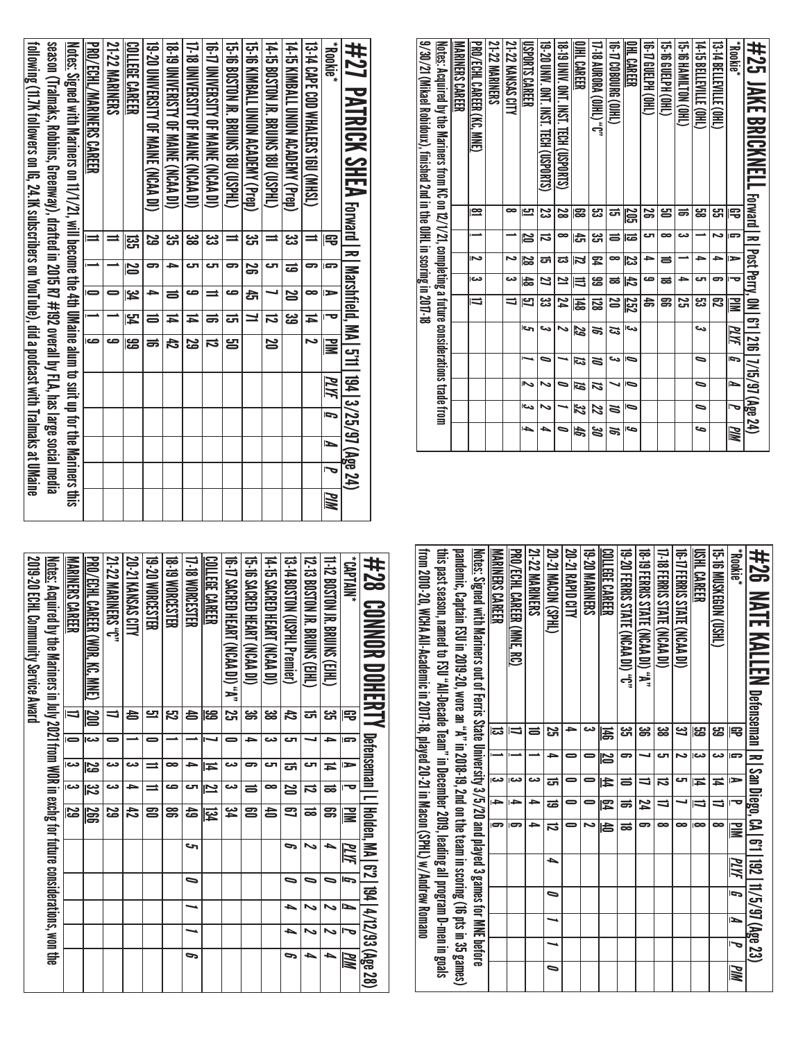| 9/30/21 (Mikael Robidoux), finished 2nd in the OJHL in scoring in 2017-18 | Notes: A crainical by the M shiners from the $10/12$ conpleting a future considerations trade iron | <b>MARINERS CAREER</b> | PRO/ECHL CAREER (KC, MNE) | 21-22 MARINERS | 21-22 KANSAS CITY        | <b>USPORTS CAREER</b> | 19-20 UNIV. ONT. INST. TECH (USPORTS) | 18 .19 UNIV. ONT. INST. TECH (USPORTS) | DIHL CAREER              | 17-18 AURORA (OHL) "C" | THIOD80088 (OIHL) | OHL CAREER | (THO) HELPH (OHL) | 15-16 QHLPH (OHL) | G-15 HAMILION (OHL) | I4-13 BELLEVILLE (OHL) | 13-14 BELLEVILLE (OHL) | <b>Plokie</b> | #25 JAKE BRICKNELL technolic Tary (1216.717,97.02ge 24) |
|---------------------------------------------------------------------------|----------------------------------------------------------------------------------------------------|------------------------|---------------------------|----------------|--------------------------|-----------------------|---------------------------------------|----------------------------------------|--------------------------|------------------------|-------------------|------------|-------------------|-------------------|---------------------|------------------------|------------------------|---------------|---------------------------------------------------------|
|                                                                           |                                                                                                    |                        | ⊵                         |                | œ                        | 9                     | ಜ                                     | 28                                     | ၼ                        | జ                      | ದ                 | 205        | 55                | ൠ                 | ಹ                   | జ్ఞ                    | مبر<br>پ               | 雩             |                                                         |
|                                                                           |                                                                                                    |                        |                           |                |                          | N                     | ವ                                     | ∞                                      | 얺                        | یئ                     | ᇹ                 | ਛ          | പ                 | œ                 | دے                  |                        | N                      | c.            |                                                         |
|                                                                           |                                                                                                    |                        | Z                         |                | N                        | 22                    | ದ                                     | ದ                                      | 2                        | P                      | œ                 | 23         | ⇒                 | ᇹ                 |                     | ≏                      | -                      | $\Rightarrow$ |                                                         |
|                                                                           |                                                                                                    |                        | دم                        |                | دے                       | 齿                     | 2                                     | ≃                                      | 亖                        | ස                      | ಹ                 | 芯          | ص                 | ಹ                 | ⇒                   | دت                     | 5                      |               |                                                         |
|                                                                           |                                                                                                    |                        | F                         |                | $\overline{\phantom{0}}$ | Ľ                     | دے<br>دے                              | 24                                     | 届                        | <u>ន</u>               | 2                 | 252        | å                 | g                 | <u>ភ្ន</u>          | జ                      | ౘె                     | NIN<br>Mi     |                                                         |
|                                                                           |                                                                                                    |                        |                           |                |                          | ات                    | دە                                    | ゝ                                      | 29                       | ಇ                      | ದ                 | دے         |                   |                   |                     | دے                     |                        | ИΜ            |                                                         |
|                                                                           |                                                                                                    |                        |                           |                |                          |                       | 0                                     |                                        | ಡ                        | Ø                      | دے                | 5          |                   |                   |                     | 0                      |                        | ī             |                                                         |
|                                                                           |                                                                                                    |                        |                           |                |                          | る                     | ∾                                     | ∍                                      | 61                       | и                      |                   | ⋼          |                   |                   |                     | ∍                      |                        | Ł             |                                                         |
|                                                                           |                                                                                                    |                        |                           |                |                          | اص                    | ∾                                     |                                        | $\overline{\mathcal{E}}$ | Z                      | Z                 | $\bullet$  |                   |                   |                     | ∍                      |                        | 宝             |                                                         |
|                                                                           |                                                                                                    |                        |                           |                |                          | 4                     | ┶                                     | 9                                      | 45                       | ಜ                      | m                 | G          |                   |                   |                     | مه                     |                        | WМ            |                                                         |

| ##27 PATRICK SHEA ravitielar (streighter 1941) 3/25/97 (Age 24)                                        |                         |                         |                             |                |                         |                               |                       |                               |  |
|--------------------------------------------------------------------------------------------------------|-------------------------|-------------------------|-----------------------------|----------------|-------------------------|-------------------------------|-----------------------|-------------------------------|--|
| <b>Rookie*</b>                                                                                         |                         | E.                      | $\overline{v}$              | $\overline{t}$ | $\overline{\mathbb{N}}$ | $\frac{M}{2}$   $\frac{M}{2}$ | $\vert \bar{f} \vert$ | $\overline{M}$ $\overline{d}$ |  |
| <b>USHO DOD WHALLERS 1900 (MHSC)</b>                                                                   |                         | 5                       | $\infty$                    | $\frac{1}{4}$  | $\overline{z}$          |                               |                       |                               |  |
| 14-12 KINBALL DNION ACADEMY (Pren)                                                                     | <u>ದ್ರ</u>              | $\overline{\mathbf{5}}$ | 20<br>  39                  |                |                         |                               |                       |                               |  |
| 14-15 BOSTON JR. BRUINS 180 (USPHL)                                                                    |                         | <u>ਯ</u>                | $\frac{1}{2}$   20          |                |                         |                               |                       |                               |  |
| 15-16 KIMBALL UNION ACADEMY (Prep)                                                                     | _<br>ಜ                  | $\overline{56}$         | $\frac{1}{6}$               | $\overline{ }$ |                         |                               |                       |                               |  |
| 15-16 BOSTON JR. BRUINS 180 (USPHL)                                                                    |                         | 9                       | ص                           |                | ട്ട                     |                               |                       |                               |  |
| 10 JAN DINERSITY OF MAINE (NCAP DI)                                                                    | دع<br>حت                | 5                       | $\equiv$                    | $\equiv$       | $\overline{5}$          |                               |                       |                               |  |
| 17-18 UNIVERSITY OF MAINE (NCAA DI)                                                                    | ట<br>ద                  | cл                      | 9                           | $\frac{1}{4}$  | 52                      |                               |                       |                               |  |
| <b>18 - 19 DINERISTY OF MAINE (NCAA DI)</b>                                                            | —<br>ಸ                  | $\overline{4}$          | $\equiv$                    | 14 #2          |                         |                               |                       |                               |  |
| <b>19-20 DIVERSILA DE MAINE (NCAA DI)</b>                                                              | $\overline{\mathbf{z}}$ | 5                       | $\overline{4}$              | 금<br>금         |                         |                               |                       |                               |  |
| COLLEGE CAREER                                                                                         | ឌួ                      | $\overline{\text{20}}$  | الع $\overline{\mathbf{z}}$ | <b>P4</b>      | ణ్ణ                     |                               |                       |                               |  |
| <b>21-22 MARINERS</b>                                                                                  |                         |                         |                             |                |                         |                               |                       |                               |  |
| PRO/ECHL/MARINERS CAREER                                                                               | $\bar{e}$               |                         | $\frac{1}{2}$               |                | $\overline{5}$          |                               |                       |                               |  |
| <u>Notes: Signed with Marines on 11//21 will people the 4th Omer contrel</u>                           |                         |                         |                             |                |                         |                               |                       |                               |  |
| season (Tralmaks, Robhins, Greenway), drafted in 2015 R7 #192 overall by FLA, has large social media   |                         |                         |                             |                |                         |                               |                       |                               |  |
| following (11.1K followers on IG, 24.1K subscribers on YouTube), did a podcast with TraImaks at UMaine |                         |                         |                             |                |                         |                               |                       |                               |  |

| 井20 MALLEXALLEM Decenseman La 2016, 25 Display 1376/82 23                                                  |                |     |                  |                |    |      |   |                |                          |
|------------------------------------------------------------------------------------------------------------|----------------|-----|------------------|----------------|----|------|---|----------------|--------------------------|
| <b>Rookie</b> *                                                                                            | 宅              | G   | $\triangleright$ | ᅮ              | ≧  | PLYF | 5 | $\blacksquare$ | WM                       |
| t5-16 MUSKEGON (USHL)                                                                                      | <mark>ය</mark> | دے  | Ħ                | $\overline{a}$ |    |      |   |                |                          |
| USHL CAREER                                                                                                | සු             | دما | Ε                | ā              |    |      |   |                |                          |
| 10-17 FEBRIS STATE (NCAP DI)                                                                               | ݺ              | N   | ى                |                |    |      |   |                |                          |
| 17-18 FERRIS STATE (NCAA DI)                                                                               | జ              | دت  | ನ                | ⇒              | ∞  |      |   |                |                          |
| 18-81 DERRIS STATE (NCAA DI) "A"                                                                           | ఴ              | ┙   | $\overline{a}$   | 74             |    |      |   |                |                          |
| <b>19-20 FERRIS STATE (NCAA DI) "C"</b>                                                                    | یئ             | 5   | $\equiv$         | ಹ              | ಹ  |      |   |                |                          |
| COLLEGE CAREER                                                                                             | 葛              | S   | $\frac{1}{4}$    | 宮              | 40 |      |   |                |                          |
| <b>19-20 MARNINERS</b>                                                                                     | دت             |     |                  | 0              |    |      |   |                |                          |
| <b>20-21 RAPID CITY</b>                                                                                    | -              | 0   | 0                | 0              |    |      |   |                |                          |
| 20-21 MACON (SPHL)                                                                                         | <u>ភ</u>       | ٩   | ದ                | ಹ              | ವ  | ▲    | ∍ |                | $\overline{\phantom{0}}$ |
| <b>21-22 MARINERS</b>                                                                                      | 3              |     | دے               | ≏              |    |      |   |                |                          |
| <b>PRO/ECHL CAREER (MNE, RC)</b>                                                                           | =              |     | ئت               | ÷              |    |      |   |                |                          |
| <b>MARINERS CAREER</b>                                                                                     | ಪ              |     | دم               | ∍              | 5  |      |   |                |                          |
| <u>Notes:</u> Signed with Mariners out of Ferris State University 3/5/20 and played 3 games for MNE before |                |     |                  |                |    |      |   |                |                          |
| panternic, Captain FSU in 2019-20, wore an "A" in 2018-19, 2nd on the team in scoring (16 pts in 35 games) |                |     |                  |                |    |      |   |                |                          |
| this past season, named to FSU "All-Decade Team" in December 2009, leading all program D-men in goals      |                |     |                  |                |    |      |   |                |                          |
| from 2010-20, WCHA All-Academic in 2007-18, played 20-21 in Macon (SPHL) w/Andrew Romano                   |                |     |                  |                |    |      |   |                |                          |

|    |   |   |           |    |                  |                         |          |                          |                  | 2019-20 ECHL Community Service Award                                                                     |
|----|---|---|-----------|----|------------------|-------------------------|----------|--------------------------|------------------|----------------------------------------------------------------------------------------------------------|
|    |   |   |           |    |                  |                         |          |                          |                  | <u>Notes:</u> Acquired by the Mariners in July 2021 from WOR in exchg for future considerations, won the |
|    |   |   |           |    | 52               | دے                      | دے       | $\overline{\phantom{a}}$ | ╛                | MARINERS CAREER                                                                                          |
|    |   |   |           |    | $\overline{361}$ | $\overline{\mathbf{z}}$ | 52       | تت                       | $\overline{500}$ | PRO/ECHL CAREER (WOR. KC, MNE)                                                                           |
|    |   |   |           |    | S                | دے                      | دے       | =                        |                  | 21-22 MARINERS "C"                                                                                       |
|    |   |   |           |    | 42               | ۵                       | دى       |                          | 40               | 20-21 KANSAS CITY                                                                                        |
|    |   |   |           |    | ౾                | $\equiv$                | $\equiv$ | 0                        | <u>س</u>         | <b>19-20 WORCESTER</b>                                                                                   |
|    |   |   |           |    | ൠ                | ده                      | ∞        |                          | <u>73</u>        | <b>18-T9 WORCESTER</b>                                                                                   |
| 9  |   |   | $\bullet$ | حہ | 49               | دت                      | ≏        |                          | 40               | 17-18 WORCESTER                                                                                          |
|    |   |   |           |    | 闼                | $\mathbf{z}$            | И        |                          | සි               | COLLEGE CAREER                                                                                           |
|    |   |   |           |    | ین<br>4          | دے                      | دے       | 0                        | ន                | 10-17 SACRED HEART (NCAN DI), "A"                                                                        |
|    |   |   |           |    | ළ                | $\Rightarrow$           | 5        | ٩                        | ఴ                | 15-16 SACRED HEART (NCAA DI)                                                                             |
|    |   |   |           |    | 4                | œ                       | ى        | دے                       | జ                | 14-15 SACRED HEART (NCAN DI)                                                                             |
| ¢  | ٠ | ь | 0         | c  | 3                | S                       | ದ        | دت                       | 42               | 13-14 BOSLOM (DSPHI Premier)                                                                             |
|    | ぃ | ∾ | 0         | ぃ  | ಹ                | ನ                       | ى        |                          | ದ                | 12-13 BOSTON JR. BRUINS (CIHL)                                                                           |
|    | ぃ | ぃ | 0         | ▵  | g                | ಹ                       | Ħ        | د                        | دە<br>س          | 11-12 BOSTON JR. BRUNS (UHL)                                                                             |
| Шd |   | ь | 5         | MИ | ≧                | ᠊ᡆ                      | ∍        | G                        | 宅                | WATANI <sup>*</sup>                                                                                      |
|    |   |   |           |    |                  |                         |          |                          |                  | #28 CONNOR DOHLENTY peterseman I_I Holden, MA I 6:71 19414/12/93 (Age 28)                                |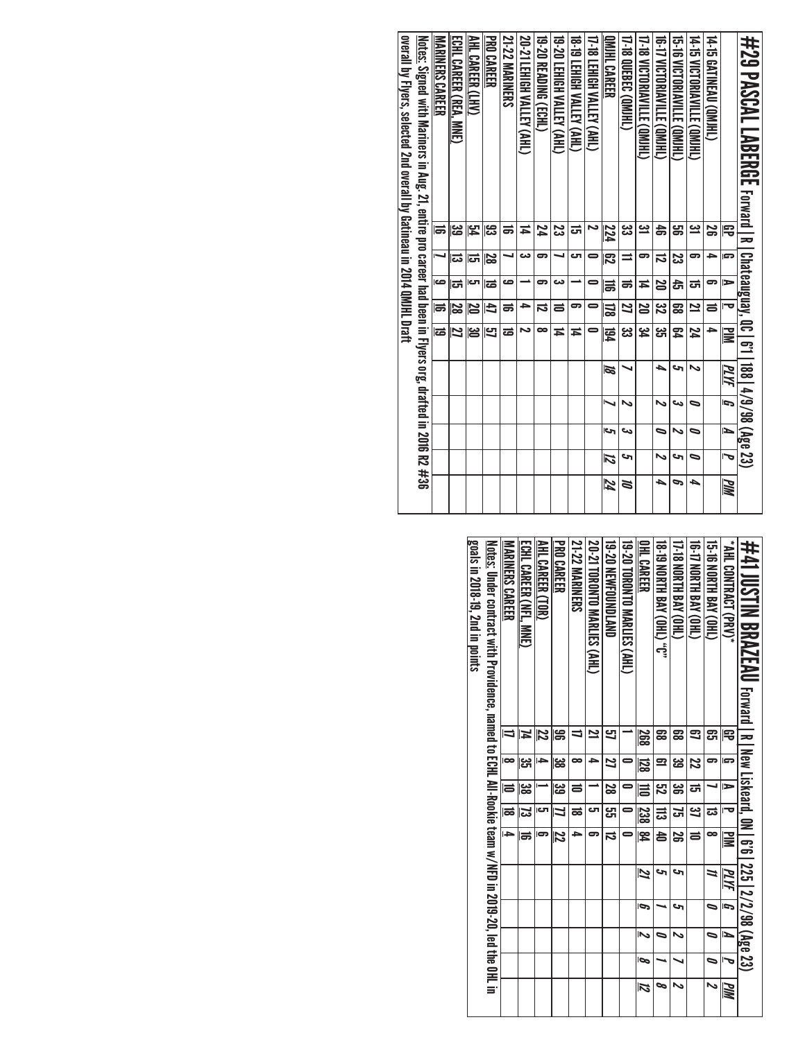| #29 PASCAL LABERGE rand and the Laber and the Laber of Laber                                                    |          |    |    |         |          |                       |    |     |    |            |
|-----------------------------------------------------------------------------------------------------------------|----------|----|----|---------|----------|-----------------------|----|-----|----|------------|
|                                                                                                                 |          |    |    | ত       |          | 188   4/9/98 (Age 23) |    |     |    |            |
|                                                                                                                 | 雩        | s  | ⋗  |         | $\geq$   | MИ                    | G  | ъ   | J  | <b>MIN</b> |
| <b>14-15 GATINEAU (QMIHL)</b>                                                                                   | వ్ల      | ≏  | 5  | ᇹ       | ▲        |                       |    |     |    |            |
| 14-t5 NCLORIMATILE (OM)HU                                                                                       | یے       | 5  | ದ  | 2       | 24       | N                     | ∍  | ∍   | ∍  | ▲          |
| 15-16 NICIONINVILLE (OMIHU)                                                                                     | ౢ        | ಜ  | đ  | 59      | 54       | c                     | دە | N   | حه | P          |
| 16-17 VICTORIAVILLE (QMJHL)                                                                                     | 4        | ದ  | 20 | ین<br>ا | یب<br>ان | ┶                     | N  | ∍   | N  | ┶          |
| 17-18 VICTORIAVILLE (QMJHL)                                                                                     | <u>س</u> | ິ  | Ħ  | 20      | ہے<br>4  |                       |    |     |    |            |
| 17-18 QUEBEC (QM)HL)                                                                                            | پي       | ⇒  | ಹ  | 2       | دە<br>ئ  |                       | N  | دے  | حە | Z          |
| IMIHL CAREER                                                                                                    | 224      | 閃  | 冨  | 冨       | 園        | 12                    |    | احى | 12 | 74         |
| 17-18 LEHIGH VALLEY (AHL)                                                                                       | ∼        | 0  | 0  | 0       | 0        |                       |    |     |    |            |
| <b>18-19 LEHIGH VALLEY (AHL)</b>                                                                                | ದ        | ى  |    | 5       | Ħ        |                       |    |     |    |            |
| 19-20 LEHIGH VALLEY (AHL)                                                                                       | ಜ        |    | دى | 5       | Ħ        |                       |    |     |    |            |
| 19-20 READING (ECHL)                                                                                            | 74       | 5  | 5  | ನ       | ∞        |                       |    |     |    |            |
| 20-21 LEHIGH VALLEY (AHL)                                                                                       | ≍        | دە |    | ᆋ       | دہ       |                       |    |     |    |            |
| <b>21-22 MARINERS</b>                                                                                           | ಕ        |    | صه | ಹ       | ಹ        |                       |    |     |    |            |
| PRO CAREER                                                                                                      | ္ဟ       | 29 | ౹ಪ | 4       | 51       |                       |    |     |    |            |
| AHL CAREER (LHV)                                                                                                | 54       | ದ  | ى  | N       | ఴ        |                       |    |     |    |            |
| ECHL CAREER (REA, MNE)                                                                                          | دے<br>ص  | ದ  | ದ  | 28      | 27       |                       |    |     |    |            |
| MARINERS CAREER                                                                                                 | ᇹ        |    | ص  | ಹ       | ಹ        |                       |    |     |    |            |
| <u>Notes:</u> Signed with Mariners in Aug. 21, entire pro career had been in Flyers org, drafted in 2016 R2 #36 |          |    |    |         |          |                       |    |     |    |            |
| overall by Flyers, selected 2nd overall by Gatineau in 2014 QMHL Draft                                          |          |    |    |         |          |                       |    |     |    |            |
|                                                                                                                 |          |    |    |         |          |                       |    |     |    |            |

| #41 JUSTIN BRAZEAU Forward   R   New Liskeard, 0N   6'6   225   2/2/98 (Age 23)                                    |                |                |                |           |                         |      |                |   |   |                    |
|--------------------------------------------------------------------------------------------------------------------|----------------|----------------|----------------|-----------|-------------------------|------|----------------|---|---|--------------------|
| <b>* AHL CONTRACT (PRO)</b>                                                                                        | 雩              | s              | ь              | ᅮ         | ≧                       | PLYF | $\overline{5}$ | И | J | MМ                 |
| <b>GHON SAY (OHL)</b>                                                                                              | ဌာ             | 5              |                | ದ         | œ                       | 11   | 0              |   | 0 | N                  |
| (THO) AV8 H1NON 41-91                                                                                              | 3              | 22             | ಪ              | <u>ین</u> | $\equiv$                |      |                |   |   |                    |
| 17-18 NORTH BAY (OHL)                                                                                              | జై             | ఴ              | ఴ              | لح<br>أ   | S                       | S    | S              | N |   | N                  |
| <b>18.19 NORTH BAY (OHL)</b> 0"                                                                                    | ౙ              | $\mathbf{r}$   | E2             | ಹ         | 농                       | S    |                | 0 |   | ∞                  |
| <b>OHL CAREER</b>                                                                                                  | 268            | <b>128</b>     | Ħ              | 238       | $\overline{\mathbb{R}}$ | 21   | Ģ              | い | ø | $\overline{\bf 2}$ |
| 19-20 TORONTO MARLIES (AHL)                                                                                        |                | 0              |                | 0         |                         |      |                |   |   |                    |
| <b>19-20 NEWFOUNDLAND</b>                                                                                          | 5              | $\overline{z}$ | $\overline{8}$ | ដូ        | $\overline{5}$          |      |                |   |   |                    |
| 20-21 TORONTO MARLIES (AHL)                                                                                        | $\overline{2}$ | ∍              |                | లా        |                         |      |                |   |   |                    |
| <b>21-22 MARINERS</b>                                                                                              |                | ∞              | $\equiv$       | ಹ         | ь                       |      |                |   |   |                    |
| <b>PRO CAREER</b>                                                                                                  | ട്ട            | జ              | ಜ              | 4         | 72                      |      |                |   |   |                    |
| AHL CAREER (TOR)                                                                                                   | 22             | L.             |                | ات        |                         |      |                |   |   |                    |
| ECHL CAREER (NFL. MNE)                                                                                             | N              | ပ္ပ            | జ              | ಡ         | ಹ                       |      |                |   |   |                    |
| <b>MARINERS CAREER</b>                                                                                             |                | $\bullet$      | ē              | ಹ         | L.                      |      |                |   |   |                    |
| Notes: Under contract with Providence, assume to ECHL All-Pookie team of CHL All-Societion 2019-20, Let the OHL in |                |                |                |           |                         |      |                |   |   |                    |
| goals in 2018-19, 2nd in points                                                                                    |                |                |                |           |                         |      |                |   |   |                    |
|                                                                                                                    |                |                |                |           |                         |      |                |   |   |                    |